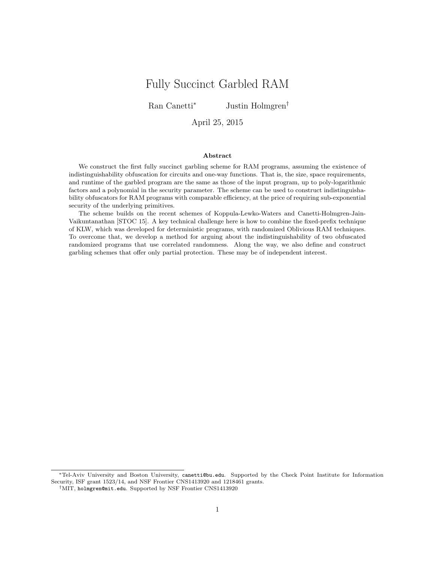# Fully Succinct Garbled RAM

Ran Canetti<sup>∗</sup> Justin Holmgren†

April 25, 2015

#### Abstract

We construct the first fully succinct garbling scheme for RAM programs, assuming the existence of indistinguishability obfuscation for circuits and one-way functions. That is, the size, space requirements, and runtime of the garbled program are the same as those of the input program, up to poly-logarithmic factors and a polynomial in the security parameter. The scheme can be used to construct indistinguishability obfuscators for RAM programs with comparable efficiency, at the price of requiring sub-exponential security of the underlying primitives.

The scheme builds on the recent schemes of Koppula-Lewko-Waters and Canetti-Holmgren-Jain-Vaikuntanathan [STOC 15]. A key technical challenge here is how to combine the fixed-prefix technique of KLW, which was developed for deterministic programs, with randomized Oblivious RAM techniques. To overcome that, we develop a method for arguing about the indistinguishability of two obfuscated randomized programs that use correlated randomness. Along the way, we also define and construct garbling schemes that offer only partial protection. These may be of independent interest.

<sup>∗</sup>Tel-Aviv University and Boston University, canetti@bu.edu. Supported by the Check Point Institute for Information Security, ISF grant 1523/14, and NSF Frontier CNS1413920 and 1218461 grants. †MIT, holmgren@mit.edu. Supported by NSF Frontier CNS1413920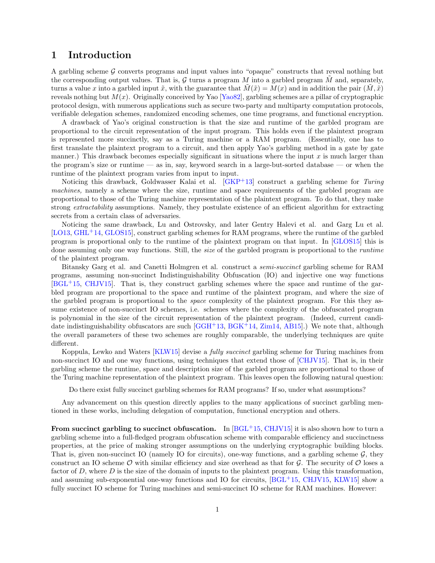## 1 Introduction

A garbling scheme  $G$  converts programs and input values into "opaque" constructs that reveal nothing but the corresponding output values. That is,  $\mathcal G$  turns a program M into a garbled program M and, separately, turns a value x into a garbled input  $\tilde{x}$ , with the guarantee that  $M(\tilde{x}) = M(x)$  and in addition the pair  $(M, \tilde{x})$ reveals nothing but  $M(x)$ . Originally conceived by Yao [\[Yao82\]](#page-27-0), garbling schemes are a pillar of cryptographic protocol design, with numerous applications such as secure two-party and multiparty computation protocols, verifiable delegation schemes, randomized encoding schemes, one time programs, and functional encryption.

A drawback of Yao's original construction is that the size and runtime of the garbled program are proportional to the circuit representation of the input program. This holds even if the plaintext program is represented more succinctly, say as a Turing machine or a RAM program. (Essentially, one has to first translate the plaintext program to a circuit, and then apply Yao's garbling method in a gate by gate manner.) This drawback becomes especially significant in situations where the input  $x$  is much larger than the program's size or runtime — as in, say, keyword search in a large-but-sorted database — or when the runtime of the plaintext program varies from input to input.

Noticing this drawback, Goldwasser Kalai et al. [\[GKP](#page-26-0)+13] construct a garbling scheme for Turing machines, namely a scheme where the size, runtime and space requirements of the garbled program are proportional to those of the Turing machine representation of the plaintext program. To do that, they make strong extractability assumptions. Namely, they postulate existence of an efficient algorithm for extracting secrets from a certain class of adversaries.

Noticing the same drawback, Lu and Ostrovsky, and later Gentry Halevi et al. and Garg Lu et al. [\[LO13,](#page-27-1) [GHL](#page-26-1)+14, [GLOS15\]](#page-26-2), construct garbling schemes for RAM programs, where the runtime of the garbled program is proportional only to the runtime of the plaintext program on that input. In [\[GLOS15\]](#page-26-2) this is done assuming only one way functions. Still, the size of the garbled program is proportional to the runtime of the plaintext program.

Bitansky Garg et al. and Canetti Holmgren et al. construct a semi-succinct garbling scheme for RAM programs, assuming non-succinct Indistinguishability Obfuscation (IO) and injective one way functions [\[BGL](#page-26-3)+15, [CHJV15\]](#page-26-4). That is, they construct garbling schemes where the space and runtime of the garbled program are proportional to the space and runtime of the plaintext program, and where the size of the garbled program is proportional to the space complexity of the plaintext program. For this they assume existence of non-succinct IO schemes, i.e. schemes where the complexity of the obfuscated program is polynomial in the size of the circuit representation of the plaintext program. (Indeed, current candidate indistinguishability obfuscators are such  $[GGH<sup>+13</sup>, BKK<sup>+14</sup>, Zim14, AB15]$  $[GGH<sup>+13</sup>, BKK<sup>+14</sup>, Zim14, AB15]$  $[GGH<sup>+13</sup>, BKK<sup>+14</sup>, Zim14, AB15]$  $[GGH<sup>+13</sup>, BKK<sup>+14</sup>, Zim14, AB15]$  $[GGH<sup>+13</sup>, BKK<sup>+14</sup>, Zim14, AB15]$ .) We note that, although the overall parameters of these two schemes are roughly comparable, the underlying techniques are quite different.

Koppula, Lewko and Waters [\[KLW15\]](#page-27-3) devise a fully succinct garbling scheme for Turing machines from non-succinct IO and one way functions, using techniques that extend those of [\[CHJV15\]](#page-26-4). That is, in their garbling scheme the runtime, space and description size of the garbled program are proportional to those of the Turing machine representation of the plaintext program. This leaves open the following natural question:

Do there exist fully succinct garbling schemes for RAM programs? If so, under what assumptions?

Any advancement on this question directly applies to the many applications of succinct garbling mentioned in these works, including delegation of computation, functional encryption and others.

From succinct garbling to succinct obfuscation. In  $[BGL^{+1}5, CHJV15]$  $[BGL^{+1}5, CHJV15]$  $[BGL^{+1}5, CHJV15]$  it is also shown how to turn a garbling scheme into a full-fledged program obfuscation scheme with comparable efficiency and succinctness properties, at the price of making stronger assumptions on the underlying cryptographic building blocks. That is, given non-succinct IO (namely IO for circuits), one-way functions, and a garbling scheme  $G$ , they construct an IO scheme  $\mathcal O$  with similar efficiency and size overhead as that for  $\mathcal G$ . The security of  $\mathcal O$  loses a factor of D, where D is the size of the domain of inputs to the plaintext program. Using this transformation, and assuming sub-exponential one-way functions and IO for circuits, [\[BGL](#page-26-3)<sup>+</sup>15, [CHJV15,](#page-26-4) [KLW15\]](#page-27-3) show a fully succinct IO scheme for Turing machines and semi-succinct IO scheme for RAM machines. However: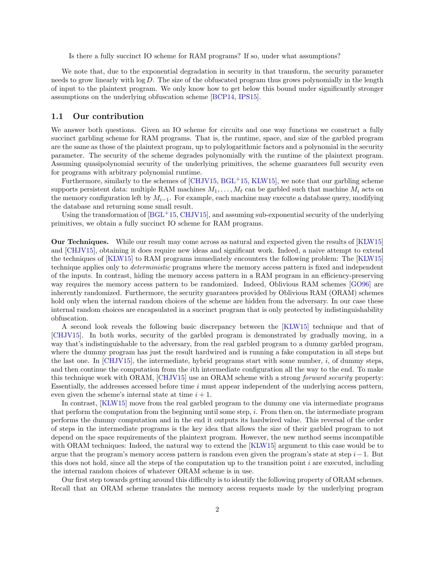Is there a fully succinct IO scheme for RAM programs? If so, under what assumptions?

We note that, due to the exponential degradation in security in that transform, the security parameter needs to grow linearly with log D. The size of the obfuscated program thus grows polynomially in the length of input to the plaintext program. We only know how to get below this bound under significantly stronger assumptions on the underlying obfuscation scheme [\[BCP14,](#page-26-8) [IPS15\]](#page-26-9).

### 1.1 Our contribution

We answer both questions. Given an IO scheme for circuits and one way functions we construct a fully succinct garbling scheme for RAM programs. That is, the runtime, space, and size of the garbled program are the same as those of the plaintext program, up to polylogarithmic factors and a polynomial in the security parameter. The security of the scheme degrades polynomially with the runtime of the plaintext program. Assuming quasipolynomial security of the underlying primitives, the scheme guarantees full security even for programs with arbitrary polynomial runtime.

Furthermore, similarly to the schemes of [\[CHJV15,](#page-26-4) [BGL](#page-26-3)+15, [KLW15\]](#page-27-3), we note that our garbling scheme supports persistent data: multiple RAM machines  $M_1, \ldots, M_\ell$  can be garbled such that machine  $M_i$  acts on the memory configuration left by  $M_{i-1}$ . For example, each machine may execute a database query, modifying the database and returning some small result.

Using the transformation of  $[BGL<sup>+15</sup>, CHJV15]$  $[BGL<sup>+15</sup>, CHJV15]$  $[BGL<sup>+15</sup>, CHJV15]$ , and assuming sub-exponential security of the underlying primitives, we obtain a fully succinct IO scheme for RAM programs.

Our Techniques. While our result may come across as natural and expected given the results of [\[KLW15\]](#page-27-3) and [\[CHJV15\]](#page-26-4), obtaining it does require new ideas and significant work. Indeed, a naive attempt to extend the techniques of [\[KLW15\]](#page-27-3) to RAM programs immediately encounters the following problem: The [\[KLW15\]](#page-27-3) technique applies only to deterministic programs where the memory access pattern is fixed and independent of the inputs. In contrast, hiding the memory access pattern in a RAM program in an efficiency-preserving way requires the memory access pattern to be randomized. Indeed, Oblivious RAM schemes [\[GO96\]](#page-26-10) are inherently randomized. Furthermore, the security guarantees provided by Oblivious RAM (ORAM) schemes hold only when the internal random choices of the scheme are hidden from the adversary. In our case these internal random choices are encapsulated in a succinct program that is only protected by indistinguishability obfuscation.

A second look reveals the following basic discrepancy between the [\[KLW15\]](#page-27-3) technique and that of [\[CHJV15\]](#page-26-4). In both works, security of the garbled program is demonstrated by gradually moving, in a way that's indistinguishable to the adversary, from the real garbled program to a dummy garbled program, where the dummy program has just the result hardwired and is running a fake computation in all steps but the last one. In  $[CHJV15]$ , the intermediate, hybrid programs start with some number, i, of dummy steps. and then continue the computation from the ith intermediate configuration all the way to the end. To make this technique work with ORAM, [\[CHJV15\]](#page-26-4) use an ORAM scheme with a strong *forward security* property: Essentially, the addresses accessed before time i must appear independent of the underlying access pattern, even given the scheme's internal state at time  $i + 1$ .

In contrast, [\[KLW15\]](#page-27-3) move from the real garbled program to the dummy one via intermediate programs that perform the computation from the beginning until some step,  $i$ . From then on, the intermediate program performs the dummy computation and in the end it outputs its hardwired value. This reversal of the order of steps in the intermediate programs is the key idea that allows the size of their garbled program to not depend on the space requirements of the plaintext program. However, the new method seems incompatible with ORAM techniques: Indeed, the natural way to extend the [\[KLW15\]](#page-27-3) argument to this case would be to argue that the program's memory access pattern is random even given the program's state at step  $i-1$ . But this does not hold, since all the steps of the computation up to the transition point i are executed, including the internal random choices of whatever ORAM scheme is in use.

Our first step towards getting around this difficulty is to identify the following property of ORAM schemes. Recall that an ORAM scheme translates the memory access requests made by the underlying program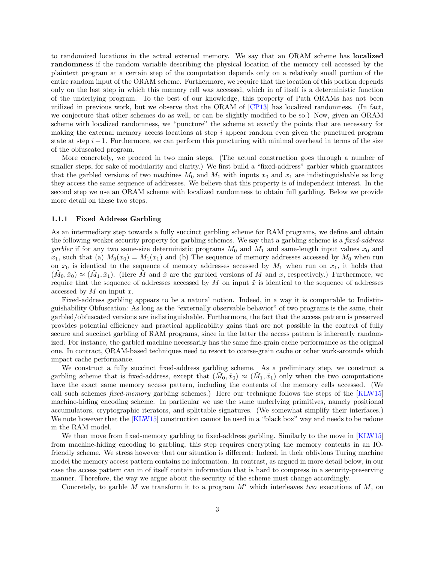to randomized locations in the actual external memory. We say that an ORAM scheme has localized randomness if the random variable describing the physical location of the memory cell accessed by the plaintext program at a certain step of the computation depends only on a relatively small portion of the entire random input of the ORAM scheme. Furthermore, we require that the location of this portion depends only on the last step in which this memory cell was accessed, which in of itself is a deterministic function of the underlying program. To the best of our knowledge, this property of Path ORAMs has not been utilized in previous work, but we observe that the ORAM of [\[CP13\]](#page-26-11) has localized randomness. (In fact, we conjecture that other schemes do as well, or can be slightly modified to be so.) Now, given an ORAM scheme with localized randomness, we "puncture" the scheme at exactly the points that are necessary for making the external memory access locations at step i appear random even given the punctured program state at step  $i - 1$ . Furthermore, we can perform this puncturing with minimal overhead in terms of the size of the obfuscated program.

More concretely, we proceed in two main steps. (The actual construction goes through a number of smaller steps, for sake of modularity and clarity.) We first build a "fixed-address" garbler which guarantees that the garbled versions of two machines  $M_0$  and  $M_1$  with inputs  $x_0$  and  $x_1$  are indistinguishable as long they access the same sequence of addresses. We believe that this property is of independent interest. In the second step we use an ORAM scheme with localized randomness to obtain full garbling. Below we provide more detail on these two steps.

#### 1.1.1 Fixed Address Garbling

As an intermediary step towards a fully succinct garbling scheme for RAM programs, we define and obtain the following weaker security property for garbling schemes. We say that a garbling scheme is a *fixed-address* garbler if for any two same-size deterministic programs  $M_0$  and  $M_1$  and same-length input values  $x_0$  and  $x_1$ , such that (a)  $M_0(x_0) = M_1(x_1)$  and (b) The sequence of memory addresses accessed by  $M_0$  when run on  $x_0$  is identical to the sequence of memory addresses accessed by  $M_1$  when run on  $x_1$ , it holds that  $(\tilde{M}_0, \tilde{x}_0) \approx (\tilde{M}_1, \tilde{x}_1)$ . (Here  $\tilde{M}$  and  $\tilde{x}$  are the garbled versions of M and x, respectively.) Furthermore, we require that the sequence of addresses accessed by M on input  $\tilde{x}$  is identical to the sequence of addresses accessed by  $M$  on input  $x$ .

Fixed-address garbling appears to be a natural notion. Indeed, in a way it is comparable to Indistinguishability Obfuscation: As long as the "externally observable behavior" of two programs is the same, their garbled/obfuscated versions are indistinguishable. Furthermore, the fact that the access pattern is preserved provides potential efficiency and practical applicability gains that are not possible in the context of fully secure and succinct garbling of RAM programs, since in the latter the access pattern is inherently randomized. For instance, the garbled machine necessarily has the same fine-grain cache performance as the original one. In contract, ORAM-based techniques need to resort to coarse-grain cache or other work-arounds which impact cache performance.

We construct a fully succinct fixed-address garbling scheme. As a preliminary step, we construct a garbling scheme that is fixed-address, except that  $(\tilde{M}_0, \tilde{x}_0) \approx (\tilde{M}_1, \tilde{x}_1)$  only when the two computations have the exact same memory access pattern, including the contents of the memory cells accessed. (We call such schemes fixed-memory garbling schemes.) Here our technique follows the steps of the [\[KLW15\]](#page-27-3) machine-hiding encoding scheme. In particular we use the same underlying primitives, namely positional accumulators, cryptographic iterators, and splittable signatures. (We somewhat simplify their interfaces.) We note however that the [\[KLW15\]](#page-27-3) construction cannot be used in a "black box" way and needs to be redone in the RAM model.

We then move from fixed-memory garbling to fixed-address garbling. Similarly to the move in [\[KLW15\]](#page-27-3) from machine-hiding encoding to garbling, this step requires encrypting the memory contents in an IOfriendly scheme. We stress however that our situation is different: Indeed, in their oblivious Turing machine model the memory access pattern contains no information. In contrast, as argued in more detail below, in our case the access pattern can in of itself contain information that is hard to compress in a security-preserving manner. Therefore, the way we argue about the security of the scheme must change accordingly.

Concretely, to garble  $M$  we transform it to a program  $M'$  which interleaves two executions of  $M$ , on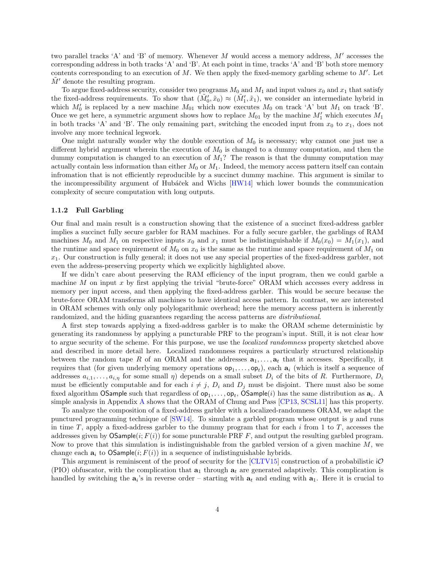two parallel tracks 'A' and 'B' of memory. Whenever M would access a memory address,  $M'$  accesses the corresponding address in both tracks 'A' and 'B'. At each point in time, tracks 'A' and 'B' both store memory contents corresponding to an execution of  $M$ . We then apply the fixed-memory garbling scheme to  $M'$ . Let  $M'$  denote the resulting program.

To argue fixed-address security, consider two programs  $M_0$  and  $M_1$  and input values  $x_0$  and  $x_1$  that satisfy the fixed-address requirements. To show that  $(M'_0, \tilde{x}_0) \approx (M'_1, \tilde{x}_1)$ , we consider an intermediate hybrid in which  $M'_0$  is replaced by a new machine  $M_{01}$  which now executes  $M_0$  on track 'A' but  $M_1$  on track 'B'. Once we get here, a symmetric argument shows how to replace  $M_{01}$  by the machine  $M'_1$  which executes  $M_1$ in both tracks 'A' and 'B'. The only remaining part, switching the encoded input from  $x_0$  to  $x_1$ , does not involve any more technical legwork.

One might naturally wonder why the double execution of  $M_0$  is necessary; why cannot one just use a different hybrid argument wherein the execution of  $M_0$  is changed to a dummy computation, and then the dummy computation is changed to an execution of  $M_1$ ? The reason is that the dummy computation may actually contain less information than either  $M_0$  or  $M_1$ . Indeed, the memory access pattern itself can contain infromation that is not efficiently reproducible by a succinct dummy machine. This argument is similar to the incompressibility argument of Hubáček and Wichs [\[HW14\]](#page-26-12) which lower bounds the communication complexity of secure computation with long outputs.

### 1.1.2 Full Garbling

Our final and main result is a construction showing that the existence of a succinct fixed-address garbler implies a succinct fully secure garbler for RAM machines. For a fully secure garbler, the garblings of RAM machines  $M_0$  and  $M_1$  on respective inputs  $x_0$  and  $x_1$  must be indistinguishable if  $M_0(x_0) = M_1(x_1)$ , and the runtime and space requirement of  $M_0$  on  $x_0$  is the same as the runtime and space requirement of  $M_1$  on  $x_1$ . Our construction is fully general; it does not use any special properties of the fixed-address garbler, not even the address-preserving property which we explicitly highlighted above.

If we didn't care about preserving the RAM efficiency of the input program, then we could garble a machine M on input x by first applying the trivial "brute-force" ORAM which accesses every address in memory per input access, and then applying the fixed-address garbler. This would be secure because the brute-force ORAM transforms all machines to have identical access pattern. In contrast, we are interested in ORAM schemes with only only polylogarithmic overhead; here the memory access pattern is inherently randomized, and the hiding guarantees regarding the access patterns are distributional.

A first step towards applying a fixed-address garbler is to make the ORAM scheme deterministic by generating its randomness by applying a puncturable PRF to the program's input. Still, it is not clear how to argue security of the scheme. For this purpose, we use the localized randomness property sketched above and described in more detail here. Localized randomness requires a particularly structured relationship between the random tape R of an ORAM and the addresses  $a_1, \ldots, a_t$  that it accesses. Specifically, it requires that (for given underlying memory operations  $\mathsf{op}_1, \ldots, \mathsf{op}_t$ ), each  $\mathbf{a}_i$  (which is itself a sequence of addresses  $a_{i,1}, \ldots, a_{i,n}$  for some small  $\eta$ ) depends on a small subset  $D_i$  of the bits of R. Furthermore,  $D_i$ must be efficiently computable and for each  $i \neq j$ ,  $D_i$  and  $D_j$  must be disjoint. There must also be some fixed algorithm OSample such that regardless of  $\mathsf{op}_1,\ldots,\mathsf{op}_t$ , OSample $(i)$  has the same distribution as  $\mathbf{a}_i$ . A simple analysis in Appendix [A](#page-27-4) shows that the ORAM of Chung and Pass [\[CP13,](#page-26-11) [SCSL11\]](#page-27-5) has this property.

To analyze the composition of a fixed-address garbler with a localized-randomness ORAM, we adapt the punctured programming technique of [\[SW14\]](#page-27-6). To simulate a garbled program whose output is y and runs in time T, apply a fixed-address garbler to the dummy program that for each i from 1 to T, accesses the addresses given by  $\mathsf{OSample}(i; F(i))$  for some puncturable PRF F, and output the resulting garbled program. Now to prove that this simulation is indistinguishable from the garbled version of a given machine  $M$ , we change each  $a_i$  to OSample $(i; F(i))$  in a sequence of indistinguishable hybrids.

This argument is reminiscent of the proof of security for the [\[CLTV15\]](#page-26-13) construction of a probabilistic  $\mathcal{O}$ (PIO) obfuscator, with the complication that  $a_1$  through  $a_t$  are generated adaptively. This complication is handled by switching the  $a_i$ 's in reverse order – starting with  $a_t$  and ending with  $a_1$ . Here it is crucial to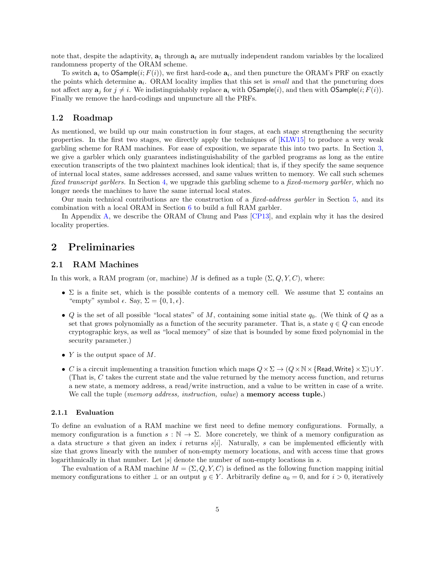note that, despite the adaptivity,  $a_1$  through  $a_t$  are mutually independent random variables by the localized randomness property of the ORAM scheme.

To switch  $a_i$  to OSample $(i; F(i))$ , we first hard-code  $a_i$ , and then puncture the ORAM's PRF on exactly the points which determine  $a_i$ . ORAM locality implies that this set is *small* and that the puncturing does not affect any  $a_j$  for  $j \neq i$ . We indistinguishably replace  $a_i$  with OSample $(i)$ , and then with OSample $(i; F(i))$ . Finally we remove the hard-codings and unpuncture all the PRFs.

#### 1.2 Roadmap

As mentioned, we build up our main construction in four stages, at each stage strengthening the security properties. In the first two stages, we directly apply the techniques of [\[KLW15\]](#page-27-3) to produce a very weak garbling scheme for RAM machines. For ease of exposition, we separate this into two parts. In Section [3,](#page-6-0) we give a garbler which only guarantees indistinguishability of the garbled programs as long as the entire execution transcripts of the two plaintext machines look identical; that is, if they specify the same sequence of internal local states, same addresses accessed, and same values written to memory. We call such schemes fixed transcript garblers. In Section [4,](#page-13-0) we upgrade this garbling scheme to a fixed-memory garbler, which no longer needs the machines to have the same internal local states.

Our main technical contributions are the construction of a fixed-address garbler in Section [5,](#page-15-0) and its combination with a local ORAM in Section [6](#page-20-0) to build a full RAM garbler.

In Appendix [A,](#page-27-4) we describe the ORAM of Chung and Pass [\[CP13\]](#page-26-11), and explain why it has the desired locality properties.

## <span id="page-5-1"></span>2 Preliminaries

### <span id="page-5-0"></span>2.1 RAM Machines

In this work, a RAM program (or, machine) M is defined as a tuple  $(\Sigma, Q, Y, C)$ , where:

- $\Sigma$  is a finite set, which is the possible contents of a memory cell. We assume that  $\Sigma$  contains an "empty" symbol  $\epsilon$ . Say,  $\Sigma = \{0, 1, \epsilon\}.$
- Q is the set of all possible "local states" of M, containing some initial state  $q_0$ . (We think of Q as a set that grows polynomially as a function of the security parameter. That is, a state  $q \in Q$  can encode cryptographic keys, as well as "local memory" of size that is bounded by some fixed polynomial in the security parameter.)
- $Y$  is the output space of  $M$ .
- C is a circuit implementing a transition function which maps  $Q \times \Sigma \to (Q \times \mathbb{N} \times \{\text{Read}, \text{Write}\} \times \Sigma) \cup Y$ . (That is, C takes the current state and the value returned by the memory access function, and returns a new state, a memory address, a read/write instruction, and a value to be written in case of a write. We call the tuple (*memory address, instruction, value*) a **memory access tuple.**)

#### 2.1.1 Evaluation

To define an evaluation of a RAM machine we first need to define memory configurations. Formally, a memory configuration is a function  $s : \mathbb{N} \to \Sigma$ . More concretely, we think of a memory configuration as a data structure s that given an index i returns  $s[i]$ . Naturally, s can be implemented efficiently with size that grows linearly with the number of non-empty memory locations, and with access time that grows logarithmically in that number. Let  $|s|$  denote the number of non-empty locations in s.

The evaluation of a RAM machine  $M = (\Sigma, Q, Y, C)$  is defined as the following function mapping initial memory configurations to either  $\bot$  or an output  $y \in Y$ . Arbitrarily define  $a_0 = 0$ , and for  $i > 0$ , iteratively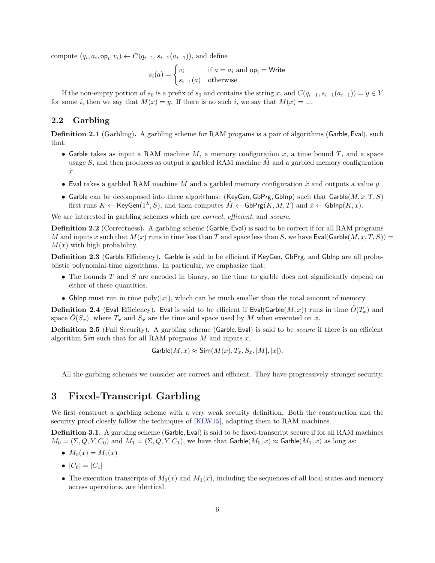compute  $(q_i, a_i, \mathsf{op}_i, v_i) \leftarrow C(q_{i-1}, s_{i-1}(a_{i-1}))$ , and define

$$
s_i(a) = \begin{cases} v_i & \text{if } a = a_i \text{ and } \mathsf{op}_i = \mathsf{Write} \\ s_{i-1}(a) & \text{otherwise} \end{cases}
$$

If the non-empty portion of  $s_0$  is a prefix of  $s_0$  and contains the string x, and  $C(q_{i-1}, s_{i-1}(a_{i-1})) = y \in Y$ for some i, then we say that  $M(x) = y$ . If there is no such i, we say that  $M(x) = \bot$ .

## 2.2 Garbling

**Definition 2.1** (Garbling). A garbling scheme for RAM progams is a pair of algorithms (Garble, Eval), such that:

- Garble takes as input a RAM machine M, a memory configuration x, a time bound T, and a space usage S, and then produces as output a garbled RAM machine  $\tilde{M}$  and a garbled memory configuration  $\tilde{x}$ .
- Eval takes a garbled RAM machine  $\tilde{M}$  and a garbled memory configuration  $\tilde{x}$  and outputs a value y.
- Garble can be decomposed into three algorithms: (KeyGen, GbPrg, GbInp) such that Garble( $M, x, T, S$ ) first runs  $K \leftarrow \mathsf{KeyGen}(1^{\lambda}, S)$ , and then computes  $\tilde{M} \leftarrow \mathsf{GbPrg}(K, M, T)$  and  $\tilde{x} \leftarrow \mathsf{Gblnp}(K, x)$ .

We are interested in garbling schemes which are *correct*, *efficient*, and *secure*.

Definition 2.2 (Correctness). A garbling scheme (Garble, Eval) is said to be correct if for all RAM programs M and inputs x such that  $M(x)$  runs in time less than T and space less than S, we have Eval(Garble $(M, x, T, S)$ ) =  $M(x)$  with high probability.

Definition 2.3 (Garble Efficiency). Garble is said to be efficient if KeyGen, GbPrg, and GbInp are all probablistic polynomial-time algorithms. In particular, we emphasize that:

- The bounds T and S are encoded in binary, so the time to garble does not significantly depend on either of these quantities.
- GbInp must run in time  $poly(|x|)$ , which can be much smaller than the total amount of memory.

**Definition 2.4** (Eval Efficiency). Eval is said to be efficient if Eval(Garble $(M, x)$ ) runs in time  $\hat{O}(T_x)$  and space  $\tilde{O}(S_x)$ , where  $T_x$  and  $S_x$  are the time and space used by M when executed on x.

<span id="page-6-1"></span>**Definition 2.5** (Full Security). A garbling scheme (Garble, Eval) is said to be *secure* if there is an efficient algorithm  $Sim$  such that for all RAM programs  $M$  and inputs  $x$ ,

 $\mathsf{Garble}(M, x) \approx \mathsf{Sim}(M(x), T_x, S_x, |M|, |x|).$ 

All the garbling schemes we consider are correct and efficient. They have progressively stronger security.

## <span id="page-6-0"></span>3 Fixed-Transcript Garbling

We first construct a garbling scheme with a very weak security definition. Both the construction and the security proof closely follow the techniques of [\[KLW15\]](#page-27-3), adapting them to RAM machines.

Definition 3.1. A garbling scheme (Garble, Eval) is said to be fixed-transcript secure if for all RAM machines  $M_0 = (\Sigma, Q, Y, C_0)$  and  $M_1 = (\Sigma, Q, Y, C_1)$ , we have that Garble $(M_0, x) \approx$  Garble $(M_1, x)$  as long as:

- $M_0(x) = M_1(x)$
- $|C_0| = |C_1|$
- The execution transcripts of  $M_0(x)$  and  $M_1(x)$ , including the sequences of all local states and memory access operations, are identical.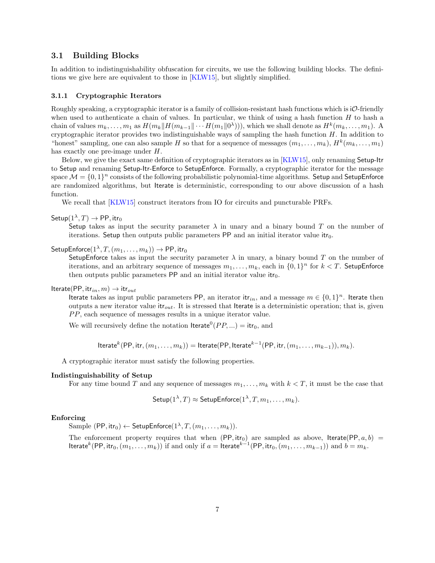### 3.1 Building Blocks

In addition to indistinguishability obfuscation for circuits, we use the following building blocks. The definitions we give here are equivalent to those in [\[KLW15\]](#page-27-3), but slightly simplified.

## 3.1.1 Cryptographic Iterators

Roughly speaking, a cryptographic iterator is a family of collision-resistant hash functions which is i $\mathcal{O}\text{-}$  friendly when used to authenticate a chain of values. In particular, we think of using a hash function  $H$  to hash a chain of values  $m_k, \ldots, m_1$  as  $H(m_k||H(m_{k-1}|| \cdots H(m_1||0^{\lambda}))),$  which we shall denote as  $H^k(m_k, \ldots, m_1)$ . A cryptographic iterator provides two indistinguishable ways of sampling the hash function  $H$ . In addition to "honest" sampling, one can also sample H so that for a sequence of messages  $(m_1, \ldots, m_k)$ ,  $H^k(m_k, \ldots, m_1)$ has exactly one pre-image under H.

Below, we give the exact same definition of cryptographic iterators as in [\[KLW15\]](#page-27-3), only renaming Setup-Itr to Setup and renaming Setup-Itr-Enforce to SetupEnforce. Formally, a cryptographic iterator for the message space  $\mathcal{M} = \{0,1\}^n$  consists of the following probabilistic polynomial-time algorithms. Setup and SetupEnforce are randomized algorithms, but Iterate is deterministic, corresponding to our above discussion of a hash function.

We recall that  $[KLW15]$  construct iterators from IO for circuits and puncturable PRFs.

 $\mathsf{Setup}(1^\lambda,T)\to \mathsf{PP},\mathsf{itr}_0$ 

Setup takes as input the security parameter  $\lambda$  in unary and a binary bound T on the number of iterations. Setup then outputs public parameters PP and an initial iterator value  $itr_0$ .

## $\mathsf{SetupEnforce}(1^\lambda, T, (m_1, \ldots, m_k)) \to \mathsf{PP}, \mathsf{itr}_0$

SetupEnforce takes as input the security parameter  $\lambda$  in unary, a binary bound T on the number of iterations, and an arbitrary sequence of messages  $m_1, \ldots, m_k$ , each in  $\{0,1\}^n$  for  $k < T$ . SetupEnforce then outputs public parameters  $PP$  and an initial iterator value itr<sub>0</sub>.

## Iterate(PP, it $r_{in}, m$ )  $\rightarrow$  it $r_{out}$

Iterate takes as input public parameters PP, an iterator it  $r_{in}$ , and a message  $m \in \{0,1\}^n$ . Iterate then outputs a new iterator value  $it_{out}$ . It is stressed that Iterate is a deterministic operation; that is, given PP, each sequence of messages results in a unique iterator value.

We will recursively define the notation  $\text{Iterate}^0(PP, \ldots) = \text{itr}_0$ , and

 $\mathsf{Iterate}^k(\mathsf{PP},\mathsf{itr},(m_1,\ldots,m_k)) = \mathsf{Iterate}(\mathsf{PP},\mathsf{Iterate}^{k-1}(\mathsf{PP},\mathsf{itr},(m_1,\ldots,m_{k-1})),m_k).$ 

A cryptographic iterator must satisfy the following properties.

#### Indistinguishability of Setup

For any time bound T and any sequence of messages  $m_1, \ldots, m_k$  with  $k < T$ , it must be the case that

$$
\mathsf{Setup}(1^{\lambda},T)\approx \mathsf{SetupEnforce}(1^{\lambda},T,m_1,\ldots,m_k).
$$

#### Enforcing

Sample  $(\textsf{PP}, \textsf{itr}_0) \leftarrow \textsf{SetupEnforce}(1^{\lambda}, T, (m_1, \ldots, m_k)).$ 

The enforcement property requires that when (PP, itr<sub>0</sub>) are sampled as above, Iterate(PP,  $a, b$ ) = Iterate<sup>k</sup>(PP, itr<sub>0</sub>,  $(m_1, \ldots, m_k)$ ) if and only if  $a =$  Iterate<sup>k-1</sup>(PP, itr<sub>0</sub>,  $(m_1, \ldots, m_{k-1})$ ) and  $b = m_k$ .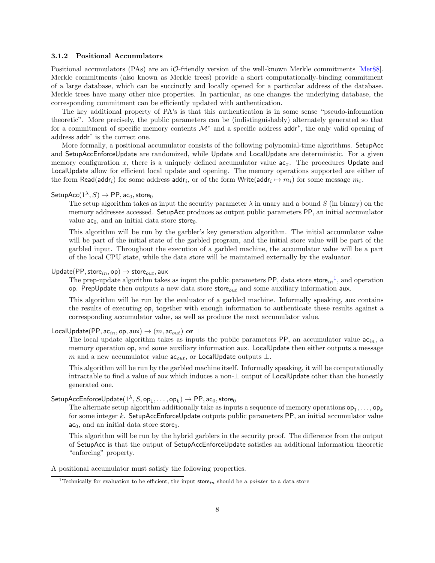#### 3.1.2 Positional Accumulators

Positional accumulators (PAs) are an iO-friendly version of the well-known Merkle commitments [\[Mer88\]](#page-27-7). Merkle commitments (also known as Merkle trees) provide a short computationally-binding commitment of a large database, which can be succinctly and locally opened for a particular address of the database. Merkle trees have many other nice properties. In particular, as one changes the underlying database, the corresponding commitment can be efficiently updated with authentication.

The key additional property of PA's is that this authentication is in some sense "pseudo-information theoretic". More precisely, the public parameters can be (indistinguishably) alternately generated so that for a commitment of specific memory contents  $\mathcal{M}^*$  and a specific address addr<sup>\*</sup>, the only valid opening of address addr<sup>∗</sup> is the correct one.

More formally, a positional accumulator consists of the following polynomial-time algorithms. SetupAcc and SetupAccEnforceUpdate are randomized, while Update and LocalUpdate are deterministic. For a given memory configuration x, there is a uniquely defined accumulator value  $ac_x$ . The procedures Update and LocalUpdate allow for efficient local update and opening. The memory operations supported are either of the form  $\mathsf{Read}(\mathsf{addr}_i)$  for some address  $\mathsf{addr}_i,$  or of the form  $\mathsf{Write}(\mathsf{addr}_i \mapsto m_i)$  for some message  $m_i.$ 

## $\mathsf{SetupAcc}(1^\lambda,S)\to \mathsf{PP}, \mathsf{ac}_0, \mathsf{store}_0$

The setup algorithm takes as input the security parameter  $\lambda$  in unary and a bound S (in binary) on the memory addresses accessed. SetupAcc produces as output public parameters PP, an initial accumulator value  $ac_0$ , and an initial data store store $<sub>0</sub>$ .</sub>

This algorithm will be run by the garbler's key generation algorithm. The initial accumulator value will be part of the initial state of the garbled program, and the initial store value will be part of the garbled input. Throughout the execution of a garbled machine, the accumulator value will be a part of the local CPU state, while the data store will be maintained externally by the evaluator.

#### $Update(PP, store_{in}, op) \rightarrow store_{out}, aux$

The prep-update algorithm takes as input the public parameters PP, data store store $_{in}^{-1}$  $_{in}^{-1}$  $_{in}^{-1}$ , and operation op. PrepUpdate then outputs a new data store store $_{out}$  and some auxiliary information aux.

This algorithm will be run by the evaluator of a garbled machine. Informally speaking, aux contains the results of executing op, together with enough information to authenticate these results against a corresponding accumulator value, as well as produce the next accumulator value.

#### LocalUpdate(PP,  $ac_{in}$ , op, aux)  $\rightarrow$   $(m, ac_{out})$  or  $\perp$

The local update algorithm takes as inputs the public parameters  $PP$ , an accumulator value  $ac_{in}$ , a memory operation op, and some auxiliary information aux. LocalUpdate then either outputs a message m and a new accumulator value  $ac_{out}$ , or LocalUpdate outputs  $\perp$ .

This algorithm will be run by the garbled machine itself. Informally speaking, it will be computationally intractable to find a value of aux which induces a non-⊥ output of LocalUpdate other than the honestly generated one.

## $\mathsf{SetupAccEnforceUpdate}(1^\lambda, S, \mathsf{op}_1, \dots, \mathsf{op}_k) \to \mathsf{PP}, \mathsf{ac}_0, \mathsf{store}_0$

The alternate setup algorithm additionally take as inputs a sequence of memory operations  $op_1, \ldots, op_k$ for some integer k. SetupAccEnforceUpdate outputs public parameters PP, an initial accumulator value  $ac_0$ , and an initial data store store $<sub>0</sub>$ .</sub>

This algorithm will be run by the hybrid garblers in the security proof. The difference from the output of SetupAcc is that the output of SetupAccEnforceUpdate satisfies an additional information theoretic "enforcing" property.

A positional accumulator must satisfy the following properties.

<span id="page-8-0"></span><sup>&</sup>lt;sup>1</sup>Technically for evaluation to be efficient, the input store<sub>in</sub> should be a *pointer* to a data store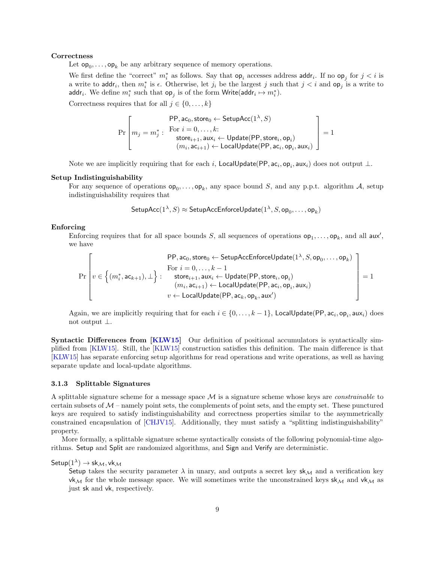#### **Correctness**

Let  $op_0, \ldots, op_k$  be any arbitrary sequence of memory operations.

We first define the "correct"  $m_i^*$  as follows. Say that  $op_i$  accesses address addr<sub>i</sub>. If no  $op_j$  for  $j < i$  is a write to addr<sub>i</sub>, then  $m_i^*$  is  $\epsilon$ . Otherwise, let  $j_i$  be the largest j such that  $j < i$  and  $op_j$  is a write to addr<sub>i</sub>. We define  $m_i^*$  such that  $op_j$  is of the form Write(addr<sub>i</sub>  $\mapsto m_i^*$ ).

Correctness requires that for all  $j \in \{0, \ldots, k\}$ 

$$
\Pr\left[m_j=m_j^*:\begin{array}{l}\mathsf{PP},\mathsf{ac}_0,\mathsf{store}_0\leftarrow\mathsf{SetupAcc}(1^\lambda,S)\\\mathsf{for}~i=0,\ldots,k\colon\\\mathsf{store}_{i+1},\mathsf{aux}_i\leftarrow\mathsf{Update}(\mathsf{PP},\mathsf{store}_i,\mathsf{op}_i)\\ (m_i,\mathsf{ac}_{i+1})\leftarrow\mathsf{LocalUpdate}(\mathsf{PP},\mathsf{ac}_i,\mathsf{op}_i,\mathsf{aux}_i)\end{array}\right\}\right]=1
$$

Note we are implicitly requiring that for each  $i$ , LocalUpdate(PP, ac<sub>i</sub>, op<sub>i</sub>, aux<sub>i</sub>) does not output  $\perp$ .

#### Setup Indistinguishability

For any sequence of operations  $op_0, \ldots, op_k$ , any space bound S, and any p.p.t. algorithm A, setup indistinguishability requires that

$$
\mathsf{SetupAcc}(1^\lambda,S) \approx \mathsf{SetupAccEnforceUpdate}(1^\lambda,S,\mathsf{op}_0,\ldots,\mathsf{op}_k)
$$

#### Enforcing

Enforcing requires that for all space bounds S, all sequences of operations  $op_1, \ldots, op_k$ , and all aux', we have

$$
\Pr\left[v \in \left\{ (m_i^*, \mathsf{ac}_{k+1}), \bot\right\}: \begin{array}{c} \mathsf{PP}, \mathsf{ac}_0, \mathsf{store}_0 \leftarrow \mathsf{SetupAccEnforceUpdate}(1^\lambda, S, \mathsf{op}_0, \ldots, \mathsf{op}_k) \\ \text{For } i = 0, \ldots, k-1 \\ \mathsf{store}_{i+1}, \mathsf{aux}_i \leftarrow \mathsf{Update}(\mathsf{PP}, \mathsf{store}_i, \mathsf{op}_i) \\ (m_i, \mathsf{ac}_{i+1}) \leftarrow \mathsf{LocalUpdate}(\mathsf{PP}, \mathsf{ac}_i, \mathsf{op}_i, \mathsf{aux}_i) \\ v \leftarrow \mathsf{LocalUpdate}(\mathsf{PP}, \mathsf{ac}_k, \mathsf{op}_k, \mathsf{aux}' ) \end{array}\right] = 1
$$

Again, we are implicitly requiring that for each  $i \in \{0, \ldots, k-1\}$ , LocalUpdate(PP, ac<sub>i</sub>, op<sub>i</sub>, aux<sub>i</sub>) does not output ⊥.

Syntactic Differences from [\[KLW15\]](#page-27-3) Our definition of positional accumulators is syntactically simplified from [\[KLW15\]](#page-27-3). Still, the [\[KLW15\]](#page-27-3) construction satisfies this definition. The main difference is that [\[KLW15\]](#page-27-3) has separate enforcing setup algorithms for read operations and write operations, as well as having separate update and local-update algorithms.

#### 3.1.3 Splittable Signatures

A splittable signature scheme for a message space  $\mathcal M$  is a signature scheme whose keys are *constrainable* to certain subsets of  $M$  – namely point sets, the complements of point sets, and the empty set. These punctured keys are required to satisfy indistinguishability and correctness properties similar to the asymmetrically constrained encapsulation of [\[CHJV15\]](#page-26-4). Additionally, they must satisfy a "splitting indistinguishability" property.

More formally, a splittable signature scheme syntactically consists of the following polynomial-time algorithms. Setup and Split are randomized algorithms, and Sign and Verify are deterministic.

 $\mathsf{Setup}(1^\lambda) \to \mathsf{sk}_\mathcal{M}, \mathsf{vk}_\mathcal{M}$ 

Setup takes the security parameter  $\lambda$  in unary, and outputs a secret key sk<sub>M</sub> and a verification key  $vk_{\mathcal{M}}$  for the whole message space. We will sometimes write the unconstrained keys sk<sub>M</sub> and vk<sub>M</sub> as just sk and vk, respectively.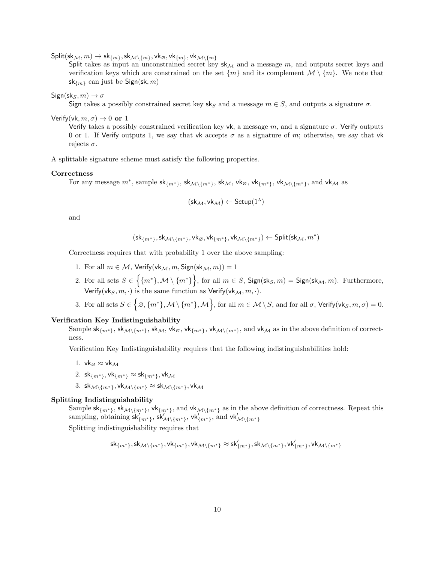$\mathsf{Split}(\mathsf{sk}_\mathcal{M}, m) \to \mathsf{sk}_{\{m\}}, \mathsf{sk}_{\mathcal{M}\setminus\{m\}}, \mathsf{vk}_\varnothing, \mathsf{vk}_{\{m\}}, \mathsf{vk}_{\mathcal{M}\setminus\{m\}}$ 

Split takes as input an unconstrained secret key  $sk_M$  and a message m, and outputs secret keys and verification keys which are constrained on the set  $\{m\}$  and its complement  $\mathcal{M} \setminus \{m\}$ . We note that  $\mathsf{sk}_{\{m\}}$  can just be  $\mathsf{Sign}(\mathsf{sk}, m)$ 

 $Sign(\textsf{sk}_S, m) \rightarrow \sigma$ 

Sign takes a possibly constrained secret key sk<sub>S</sub> and a message  $m \in S$ , and outputs a signature  $\sigma$ .

#### Verify(vk,  $m, \sigma$ )  $\rightarrow$  0 or 1

Verify takes a possibly constrained verification key vk, a message  $m$ , and a signature  $\sigma$ . Verify outputs 0 or 1. If Verify outputs 1, we say that vk accepts  $\sigma$  as a signature of m; otherwise, we say that vk rejects  $\sigma$ .

A splittable signature scheme must satisfy the following properties.

#### **Correctness**

For any message  $m^*$ , sample  $\mathsf{sk}_{\{m^*\}}$ ,  $\mathsf{sk}_{\mathcal{M}\setminus\{m^*\}}$ ,  $\mathsf{sk}_{\mathcal{M}}$ ,  $\mathsf{vk}_{\varnothing}$ ,  $\mathsf{vk}_{\mathcal{M}\setminus\{m^*\}}$ , and  $\mathsf{vk}_{\mathcal{M}}$  as

$$
(\mathsf{sk}_\mathcal{M},\mathsf{vk}_\mathcal{M})\leftarrow \mathsf{Setup}(1^\lambda)
$$

and

$$
(\mathsf{sk}_{\{m^*\}},\mathsf{sk}_{\mathcal{M}\setminus\{m^*\}},\mathsf{vk}_{\varnothing},\mathsf{vk}_{\{m^*\}},\mathsf{vk}_{\mathcal{M}\setminus\{m^*\}}) \leftarrow \mathsf{Split}(\mathsf{sk}_{\mathcal{M}},m^*)
$$

Correctness requires that with probability 1 over the above sampling:

- 1. For all  $m \in \mathcal{M}$ , Verify(vk $\mathcal{M}, m$ , Sign(sk $\mathcal{M}, m$ )) = 1
- 2. For all sets  $S \in \left\{ \{m^*\}, \mathcal{M} \setminus \{m^*\} \right\}$ , for all  $m \in S$ ,  $\mathsf{Sign}(\mathsf{sk}_S, m) = \mathsf{Sign}(\mathsf{sk}_{\mathcal{M}}, m)$ . Furthermore, Verify(vk<sub>S</sub>, m, ·) is the same function as Verify(vk<sub>M</sub>, m, ·).
- 3. For all sets  $S \in \left\{ \varnothing, \{m^*\}, \mathcal{M} \setminus \{m^*\}, \mathcal{M} \right\}$ , for all  $m \in \mathcal{M} \setminus S$ , and for all  $\sigma$ , Verify(vk $_S, m, \sigma$ ) = 0.

## Verification Key Indistinguishability

Sample  $sk_{m^*}, sk_{\mathcal{M}\backslash\{m^*}\}, sk_{\mathcal{M}}, vk_{\mathcal{O}}, vk_{\{m^*}\}, vk_{\mathcal{M}\backslash\{m^*\}}, and vk_{\mathcal{M}}$  as in the above definition of correctness.

Verification Key Indistinguishability requires that the following indistinguishabilities hold:

- 1. vk $\alpha \approx$  vk $M$
- 2. sk{ $_{m^*}$ , vk{ $_{m^*}$ }  $\approx$  sk{ $_{m^*}$ }, vk $_{\mathcal{M}}$
- 3. sk $M\setminus\{m^*\}$ , vk $M\setminus\{m^*\}\approx$  sk $M\setminus\{m^*\}$ , vk $M$

## Splitting Indistinguishability

Sample  $\mathsf{sk}_{\{m^*\}}$ ,  $\mathsf{sk}_{\mathcal{M}\setminus\{m^*\}}$ ,  $\mathsf{wk}_{\{m^*\}}$ , and  $\mathsf{vk}_{\mathcal{M}\setminus\{m^*\}}$  as in the above definition of correctness. Repeat this sampling, obtaining  $\overline{\mathsf{sk}'_{\{m^*\}}}, \overline{\mathsf{sk}'_{\mathcal{M}\setminus\{m^*\}}}, \overline{\mathsf{vk}'_{\{m^*\}}}, \text{and } \mathsf{vk}'_{\mathcal{M}\setminus\{m^*\}}$ 

Splitting indistinguishability requires that

$$
\mathsf{sk}_{\{m^*\}}, \mathsf{sk}_{\mathcal{M}\backslash\{m^*\}}, \mathsf{vk}_{\{m^*\}}, \mathsf{vk}_{\mathcal{M}\backslash\{m^*\}} \approx \mathsf{sk}_{\{m^*\}}', \mathsf{sk}_{\mathcal{M}\backslash\{m^*\}}, \mathsf{vk}_{\{m^*\}}, \mathsf{vk}_{\mathcal{M}\backslash\{m^*\}}
$$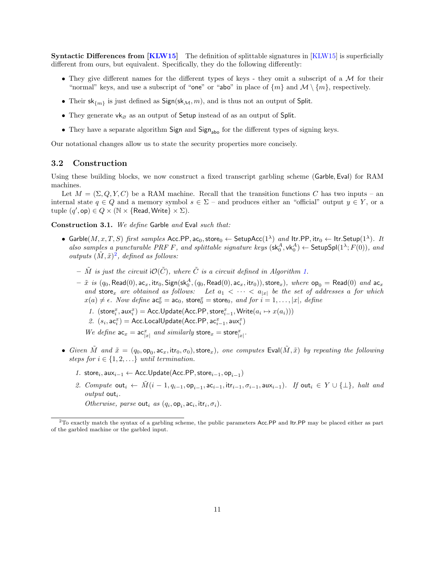**Syntactic Differences from [\[KLW15\]](#page-27-3)** The definition of splittable signatures in [KLW15] is superficially different from ours, but equivalent. Specifically, they do the following differently:

- They give different names for the different types of keys they omit a subscript of a  $M$  for their "normal" keys, and use a subscript of "one" or "abo" in place of  $\{m\}$  and  $\mathcal{M} \setminus \{m\}$ , respectively.
- Their  $sk_{\{m\}}$  is just defined as  $Sign(sk_{\mathcal{M}}, m)$ , and is thus not an output of Split.
- They generate  $vk_{\emptyset}$  as an output of Setup instead of as an output of Split.
- They have a separate algorithm  $Sign$  and  $Sign_{abo}$  for the different types of signing keys.

Our notational changes allow us to state the security properties more concisely.

### 3.2 Construction

Using these building blocks, we now construct a fixed transcript garbling scheme (Garble, Eval) for RAM machines.

Let  $M = (\Sigma, Q, Y, C)$  be a RAM machine. Recall that the transition functions C has two inputs – an internal state  $q \in Q$  and a memory symbol  $s \in \Sigma$  – and produces either an "official" output  $y \in Y$ , or a tuple  $(q', \textsf{op}) \in Q \times (\mathbb{N} \times {\text{Read, Write}} \times \Sigma).$ 

<span id="page-11-2"></span>Construction 3.1. We define Garble and Eval such that:

- Garble $(M, x, T, S)$  first samples Acc.PP, ac<sub>0</sub>, store<sub>0</sub>  $\leftarrow$  SetupAcc $(1^{\lambda})$  and ltr.PP, itr<sub>0</sub>  $\leftarrow$  ltr.Setup $(1^{\lambda})$ . It also samples a puncturable PRF F, and splittable signature keys  $(\mathsf{sk}_0^A, \mathsf{vk}_0^A) \leftarrow \mathsf{SetupSpl}(1^\lambda; F(0)),$  and outputs  $(M, \tilde{x})^2$  $(M, \tilde{x})^2$ , defined as follows:
	- $\tilde{M}$  is just the circuit  $i\mathcal{O}(\tilde{C})$ , where  $\tilde{C}$  is a circuit defined in Algorithm [1.](#page-11-1)
	- $\tilde{x}$  is  $(q_0, \mathsf{Read}(0), \mathsf{ac}_x, \mathsf{itr}_0, \mathsf{Sign}(\mathsf{sk}_0^A, (q_0, \mathsf{Read}(0), \mathsf{ac}_x, \mathsf{itr}_0)), \mathsf{store}_x), \text{ where } \mathsf{op}_0 = \mathsf{Read}(0) \text{ and } \mathsf{ac}_x$ and store<sub>x</sub> are obtained as follows: Let  $a_1 < \cdots < a_{|x|}$  be the set of addresses a for which  $x(a) \neq \epsilon$ . Now define  $\mathtt{ac}_0^x = \mathtt{ac}_0$ , stor $\mathtt{ec}_0^x =$  store $_0$ , and for  $i = 1, \ldots, |x|$ , define
		- $1. \ \left(\mathsf{store}^x_i, \mathsf{aux}^x_i\right) = \mathsf{Acc}.\mathsf{Update}(\mathsf{Acc}. \mathsf{PP}, \mathsf{store}^x_{i-1}, \mathsf{Write}(a_i \mapsto x(a_i)))$
		- 2.  $(s_i, \text{ac}^x_i) = \text{Acc.LocalUpdate}(\text{Acc.PP}, \text{ac}^x_{i-1}, \text{aux}^x_i)$
		- We define  $ac_x = ac_{|x|}^x$  and similarly store  $x = store_{|x|}^x$ .
- Given  $\tilde{M}$  and  $\tilde{x} = (q_0, \mathsf{op}_0, \mathsf{ac}_x, \mathsf{itr}_0, \sigma_0), \mathsf{store}_x)$ , one computes  $\mathsf{Eval}(\tilde{M}, \tilde{x})$  by repeating the following steps for  $i \in \{1, 2, \ldots\}$  until termination.
	- 1. store<sub>i</sub>, aux<sub>i−1</sub> ← Acc.Update(Acc.PP, store<sub>i−1</sub>, op<sub>i−1</sub>)
	- 2. Compute out<sub>i</sub>  $\leftarrow \tilde{M}(i-1, q_{i-1}, \mathsf{op}_{i-1}, \mathsf{ac}_{i-1}, \mathsf{itr}_{i-1}, \sigma_{i-1}, \mathsf{aux}_{i-1}).$  If out<sub>i</sub>  $\in Y \cup \{\perp\}$ , halt and  $output$  out $_i$ .

Otherwise, parse out<sub>i</sub> as  $(q_i, \mathsf{op}_i, \mathsf{ac}_i, \mathsf{itr}_i, \sigma_i)$ .

<span id="page-11-1"></span><span id="page-11-0"></span> $2$ To exactly match the syntax of a garbling scheme, the public parameters Acc.PP and Itr.PP may be placed either as part of the garbled machine or the garbled input.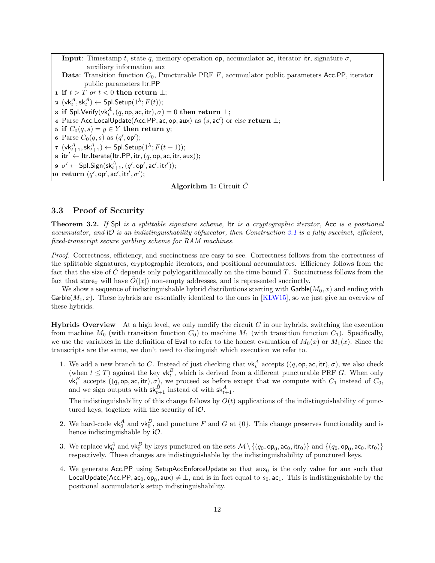**Input:** Timestamp t, state q, memory operation op, accumulator ac, iterator itr, signature  $\sigma$ , auxiliary information aux **Data:** Transition function  $C_0$ , Puncturable PRF  $F$ , accumulator public parameters Acc.PP, iterator public parameters Itr.PP 1 if  $t > T$  or  $t < 0$  then return  $\perp$ ;  $\mathsf{a} \ \ (\mathsf{vk}_t^A,\mathsf{sk}_t^A) \leftarrow \mathsf{Spl}.\mathsf{Setup}(1^\lambda;F(t));$  ${\sf s}$  if Spl.Verify $({\sf vk}_t^A,(q,{\sf op},{\sf ac},{\sf itr}),\sigma)=0$  then  ${\sf return}\perp;$  $4$  Parse Acc.LocalUpdate(Acc.PP, ac, op, aux) as  $(s, \operatorname{ac}')$  or else  $\operatorname{\mathbf{return}} \perp;$ 5 if  $C_0(q, s) = y \in Y$  then return y; 6 Parse  $C_0(q,s)$  as  $(q', \textsf{op}');$  $\tau\;$   $(\mathsf{vk}^A_{t+1},\mathsf{sk}^A_{t+1}) \leftarrow \mathsf{Spl}.\mathsf{Setup}(1^\lambda;F(t+1));$  $\mathbf{s}$  itr' $\leftarrow$  Itr.Iterate(Itr.PP, itr,  $(q, \mathsf{op}, \mathsf{ac}, \mathsf{itr}, \mathsf{aux})$ );  $\mathbf{s} \ \ \sigma' \leftarrow \mathsf{Spl}.\mathsf{Sign}(\mathsf{sk}^A_{t+1},(q',\mathsf{op}',\mathsf{ac}',\mathsf{itr}'));$ 10 return  $(q', \text{op}', \text{ac}', \text{itr}', \sigma')$ ;

### Algorithm 1: Circuit  $C$

## 3.3 Proof of Security

Theorem 3.2. If Spl is a splittable signature scheme, Itr is a cryptographic iterator, Acc is a positional accumulator, and iO is an indistinguishability obfuscator, then Construction [3.1](#page-11-2) is a fully succinct, efficient, fixed-transcript secure garbling scheme for RAM machines.

Proof. Correctness, efficiency, and succinctness are easy to see. Correctness follows from the correctness of the splittable signatures, cryptographic iterators, and positional accumulators. Efficiency follows from the fact that the size of  $C$  depends only polylogarithmically on the time bound  $T$ . Succinctness follows from the fact that store<sub>x</sub> will have  $O(|x|)$  non-empty addresses, and is represented succinctly.

We show a sequence of indistinguishable hybrid distributions starting with  $\mathsf{Garble}(M_0, x)$  and ending with Garble( $M_1, x$ ). These hybrids are essentially identical to the ones in [\[KLW15\]](#page-27-3), so we just give an overview of these hybrids.

**Hybrids Overview** At a high level, we only modify the circuit  $C$  in our hybrids, switching the execution from machine  $M_0$  (with transition function  $C_0$ ) to machine  $M_1$  (with transition function  $C_1$ ). Specifically, we use the variables in the definition of Eval to refer to the honest evaluation of  $M_0(x)$  or  $M_1(x)$ . Since the transcripts are the same, we don't need to distinguish which execution we refer to.

1. We add a new branch to C. Instead of just checking that  $\mathsf{vk}_t^A$  accepts  $((q, \mathsf{op}, \mathsf{ac}, \mathsf{itr}), \sigma)$ , we also check (when  $t \leq T$ ) against the key  $\mathsf{vk}_t^B$ , which is derived from a different puncturable PRF G. When only  $\mathsf{wk}_{t}^B$  accepts  $((q, \mathsf{op}, \mathsf{ac}, \mathsf{itr}), \sigma)$ , we proceed as before except that we compute with  $C_1$  instead of  $C_0$ , and we sign outputs with  $\mathsf{sk}^B_{t+1}$  instead of with  $\mathsf{sk}^A_{t+1}$ .

The indistinguishability of this change follows by  $O(t)$  applications of the indistinguishability of punctured keys, together with the security of  $i\mathcal{O}$ .

- 2. We hard-code  $\mathsf{vk}_0^A$  and  $\mathsf{vk}_0^B$ , and puncture F and G at  $\{0\}$ . This change preserves functionality and is hence indistinguishable by  $i\mathcal{O}$ .
- 3. We replace  $\mathsf{vk}_0^A$  and  $\mathsf{vk}_0^B$  by keys punctured on the sets  $\mathcal{M} \setminus \{(q_0, \mathsf{op}_0, \mathsf{ac}_0, \mathsf{itr}_0)\}$  and  $\{(q_0, \mathsf{op}_0, \mathsf{ac}_0, \mathsf{itr}_0)\}$ respectively. These changes are indistinguishable by the indistinguishability of punctured keys.
- 4. We generate Acc.PP using SetupAccEnforceUpdate so that  $aux_0$  is the only value for aux such that LocalUpdate(Acc.PP, ac<sub>0</sub>, op<sub>0</sub>, aux)  $\neq \perp$ , and is in fact equal to  $s_0$ , ac<sub>1</sub>. This is indistinguishable by the positional accumulator's setup indistinguishability.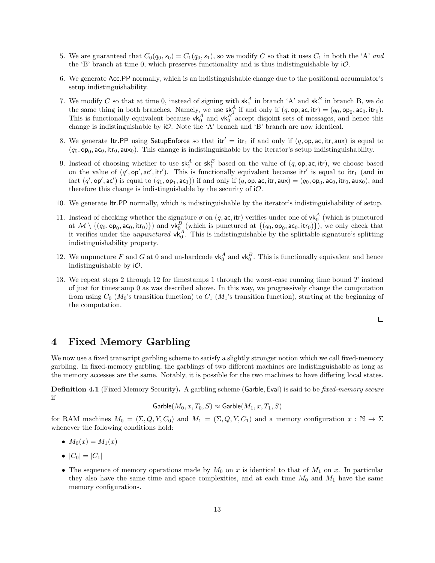- 5. We are guaranteed that  $C_0(q_0, s_0) = C_1(q_0, s_1)$ , so we modify C so that it uses  $C_1$  in both the 'A' and the 'B' branch at time 0, which preserves functionality and is thus indistinguishable by  $\mathcal{O}$ .
- 6. We generate Acc.PP normally, which is an indistinguishable change due to the positional accumulator's setup indistinguishability.
- 7. We modify C so that at time 0, instead of signing with  $sk_1^A$  in branch 'A' and  $sk_1^B$  in branch B, we do the same thing in both branches. Namely, we use  $\mathsf{sk}_1^A$  if and only if  $(q, \mathsf{op}, \mathsf{ac}, \mathsf{itr}) = (q_0, \mathsf{op}_0, \mathsf{ac}_0, \mathsf{itr}_0)$ . This is functionally equivalent because  $\mathsf{vk}_0^A$  and  $\mathsf{vk}_0^B$  accept disjoint sets of messages, and hence this change is indistinguishable by iO. Note the 'A' branch and 'B' branch are now identical.
- 8. We generate Itr.PP using SetupEnforce so that itr' = itr<sub>1</sub> if and only if  $(q, op, ac, itr, aux)$  is equal to  $(q_0, \mathsf{op}_0, \mathsf{ac}_0, \mathsf{itr}_0, \mathsf{aux}_0)$ . This change is indistinguishable by the iterator's setup indistinguishability.
- 9. Instead of choosing whether to use  $sk_1^A$  or  $sk_1^B$  based on the value of  $(q, op, ac, itr)$ , we choose based on the value of  $(q', op', ac', itr')$ . This is functionally equivalent because itr' is equal to itr<sub>1</sub> (and in fact  $(q', op', ac')$  is equal to  $(q_1, op_1, ac_1)$ ) if and only if  $(q, op, ac, itr, aux) = (q_0, op_0, ac_0, itr_0, aux_0)$ , and therefore this change is indistinguishable by the security of  $\mathcal{O}$ .
- 10. We generate Itr.PP normally, which is indistinguishable by the iterator's indistinguishability of setup.
- 11. Instead of checking whether the signature  $\sigma$  on  $(q, \text{ac}, \text{itr})$  verifies under one of  $\mathsf{vk}_0^A$  (which is punctured at  $M \setminus \{(q_0, \mathsf{op}_0, \mathsf{ac}_0, \mathsf{itr}_0)\}\$  and  $\mathsf{vk}_0^B$  (which is punctured at  $\{(q_0, \mathsf{op}_0, \mathsf{ac}_0, \mathsf{itr}_0)\}\)$ , we only check that it verifies under the *unpunctured*  $\mathsf{vk}_0^A$ . This is indistinguishable by the splittable signature's splitting indistinguishability property.
- 12. We unpuncture F and G at 0 and un-hardcode  $\mathsf{vk}_0^A$  and  $\mathsf{vk}_0^B$ . This is functionally equivalent and hence indistinguishable by  $i\mathcal{O}$ .
- 13. We repeat steps 2 through 12 for timestamps 1 through the worst-case running time bound  $T$  instead of just for timestamp 0 as was described above. In this way, we progressively change the computation from using  $C_0$  ( $M_0$ 's transition function) to  $C_1$  ( $M_1$ 's transition function), starting at the beginning of the computation.

 $\Box$ 

## <span id="page-13-0"></span>4 Fixed Memory Garbling

We now use a fixed transcript garbling scheme to satisfy a slightly stronger notion which we call fixed-memory garbling. In fixed-memory garbling, the garblings of two different machines are indistinguishable as long as the memory accesses are the same. Notably, it is possible for the two machines to have differing local states.

Definition 4.1 (Fixed Memory Security). A garbling scheme (Garble, Eval) is said to be fixed-memory secure if

$$
\mathsf{Garble}(M_0, x, T_0, S) \approx \mathsf{Garble}(M_1, x, T_1, S)
$$

for RAM machines  $M_0 = (\Sigma, Q, Y, C_0)$  and  $M_1 = (\Sigma, Q, Y, C_1)$  and a memory configuration  $x : \mathbb{N} \to \Sigma$ whenever the following conditions hold:

- $M_0(x) = M_1(x)$
- $|C_0| = |C_1|$
- The sequence of memory operations made by  $M_0$  on x is identical to that of  $M_1$  on x. In particular they also have the same time and space complexities, and at each time  $M_0$  and  $M_1$  have the same memory configurations.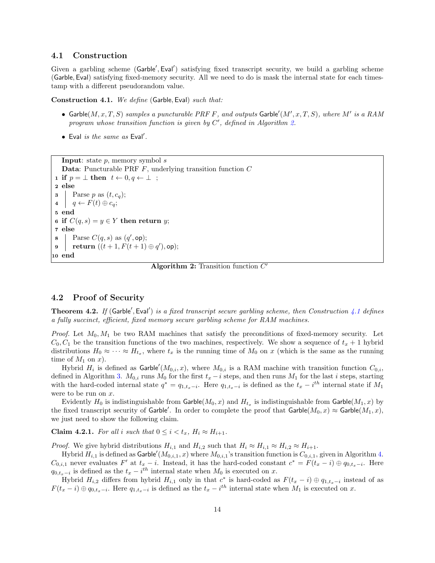#### 4.1 Construction

Given a garbling scheme (Garble', Eval') satisfying fixed transcript security, we build a garbling scheme (Garble, Eval) satisfying fixed-memory security. All we need to do is mask the internal state for each timestamp with a different pseudorandom value.

<span id="page-14-1"></span>Construction 4.1. We define (Garble, Eval) such that:

- Garble $(M, x, T, S)$  samples a puncturable PRF F, and outputs Garble' $(M', x, T, S)$ , where M' is a RAM program whose transition function is given by  $C'$ , defined in Algorithm [2.](#page-14-0)
- Eval is the same as Eval'.

```
Input: state p, memory symbol sData: Puncturable PRF F, underlying transition function C
 1 if p = \perp then t \leftarrow 0, q \leftarrow \perp;
2 else
 \mathbf{3} | Parse p as (t, c_q);\begin{array}{c|c} \textbf{4} & q \leftarrow F(t) \oplus c_q; \end{array}5 end
6 if C(q, s) = y \in Y then return y;
7 else
 8 | Parse C(q, s) as (q', \textsf{op});
 9 \vert return ((t+1, F(t+1) \oplus q'), \mathsf{op});10 end
```
Algorithm  $2$ : Transition function  $C'$ 

### 4.2 Proof of Security

<span id="page-14-4"></span>**Theorem 4.2.** If (Garble', Eval') is a fixed transcript secure garbling scheme, then Construction [4.1](#page-14-1) defines a fully succinct, efficient, fixed memory secure garbling scheme for RAM machines.

*Proof.* Let  $M_0, M_1$  be two RAM machines that satisfy the preconditions of fixed-memory security. Let  $C_0, C_1$  be the transition functions of the two machines, respectively. We show a sequence of  $t_x + 1$  hybrid distributions  $H_0 \approx \cdots \approx H_{t_x}$ , where  $t_x$  is the running time of  $M_0$  on x (which is the same as the running time of  $M_1$  on  $x$ ).

Hybrid  $H_i$  is defined as Garble'( $M_{0,i}, x$ ), where  $M_{0,i}$  is a RAM machine with transition function  $C_{0,i}$ , defined in Algorithm [3.](#page-14-2)  $M_{0,i}$  runs  $M_0$  for the first  $t_x - i$  steps, and then runs  $M_1$  for the last i steps, starting with the hard-coded internal state  $q^* = q_{1,t_x-i}$ . Here  $q_{1,t_x-i}$  is defined as the  $t_x - i^{th}$  internal state if  $M_1$ were to be run on  $x$ .

<span id="page-14-2"></span>Evidently  $H_0$  is indistinguishable from Garble $(M_0, x)$  and  $H_{t_x}$  is indistinguishable from Garble $(M_1, x)$  by the fixed transcript security of Garble'. In order to complete the proof that  $\textsf{Garble}(M_0, x) \approx \textsf{Garble}(M_1, x),$ we just need to show the following claim.

Claim 4.2.1. For all i such that  $0 \leq i \leq t_x$ ,  $H_i \approx H_{i+1}$ .

*Proof.* We give hybrid distributions  $H_{i,1}$  and  $H_{i,2}$  such that  $H_i \approx H_{i,1} \approx H_{i,2} \approx H_{i+1}$ .

Hybrid  $H_{i,1}$  is defined as Garble<sup> $\prime$ </sup>( $M_{0,i,1}, x$ ) where  $M_{0,i,1}$ 's transition function is  $C_{0,i,1}$ , given in Algorithm [4.](#page-14-3)  $C_{0,i,1}$  never evaluates F' at  $t_x - i$ . Instead, it has the hard-coded constant  $c^* = F(t_x - i) \oplus q_{0,t_x - i}$ . Here  $q_{0,t_x-i}$  is defined as the  $t_x - i^{th}$  internal state when  $M_0$  is executed on x.

<span id="page-14-3"></span>Hybrid  $H_{i,2}$  differs from hybrid  $H_{i,1}$  only in that  $c^*$  is hard-coded as  $F(t_x - i) \oplus q_{1,t_x-i}$  instead of as  $F(t_x - i) \oplus q_{0,t_x - i}$ . Here  $q_{1,t_x - i}$  is defined as the  $t_x - i^{th}$  internal state when  $M_1$  is executed on x.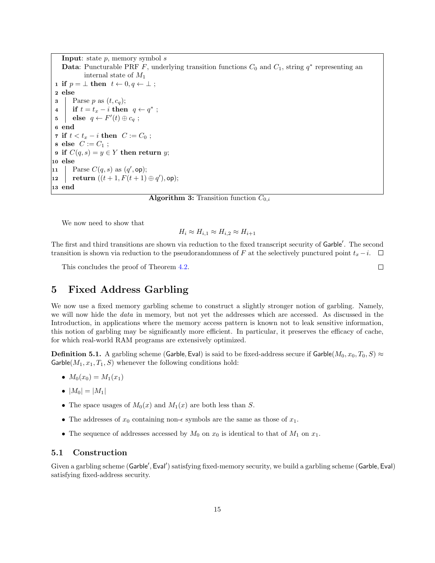**Input:** state  $p$ , memory symbol  $s$ **Data:** Puncturable PRF F, underlying transition functions  $C_0$  and  $C_1$ , string  $q^*$  representing an internal state of M<sup>1</sup> 1 if  $p = \perp$  then  $t \leftarrow 0, q \leftarrow \perp$ ; 2 else  $\mathbf{3}$  | Parse p as  $(t, c_q);$  $\begin{array}{cc} \textbf{4} & \textbf{if } t = t_x - i \textbf{ then } q \leftarrow q^* \; ; \end{array}$ 5 else  $q \leftarrow F'(t) \oplus c_q$ ; 6 end 7 if  $t < t_x - i$  then  $C := C_0$ ; 8 else  $C := C_1$ ; 9 if  $C(q, s) = y \in Y$  then return y; 10 else 11 | Parse  $C(q, s)$  as  $(q', \textsf{op})$ ; 12 **return**  $((t + 1, F(t + 1) \oplus q'), op);$ 13 end

**Algorithm 3:** Transition function  $C_{0,i}$ 

We now need to show that

$$
H_i \approx H_{i,1} \approx H_{i,2} \approx H_{i+1}
$$

The first and third transitions are shown via reduction to the fixed transcript security of Garble'. The second transition is shown via reduction to the pseudorandomness of F at the selectively punctured point  $t_x - i$ .  $\Box$ 

This concludes the proof of Theorem [4.2.](#page-14-4)

## <span id="page-15-0"></span>5 Fixed Address Garbling

We now use a fixed memory garbling scheme to construct a slightly stronger notion of garbling. Namely, we will now hide the data in memory, but not yet the addresses which are accessed. As discussed in the Introduction, in applications where the memory access pattern is known not to leak sensitive information, this notion of garbling may be significantly more efficient. In particular, it preserves the efficacy of cache, for which real-world RAM programs are extensively optimized.

**Definition 5.1.** A garbling scheme (Garble, Eval) is said to be fixed-address secure if Garble $(M_0, x_0, T_0, S) \approx$  $\mathsf{Garble}(M_1, x_1, T_1, S)$  whenever the following conditions hold:

- $M_0(x_0) = M_1(x_1)$
- $|M_0| = |M_1|$
- The space usages of  $M_0(x)$  and  $M_1(x)$  are both less than S.
- The addresses of  $x_0$  containing non- $\epsilon$  symbols are the same as those of  $x_1$ .
- The sequence of addresses accessed by  $M_0$  on  $x_0$  is identical to that of  $M_1$  on  $x_1$ .

## 5.1 Construction

Given a garbling scheme (Garble', Eval') satisfying fixed-memory security, we build a garbling scheme (Garble, Eval) satisfying fixed-address security.

 $\Box$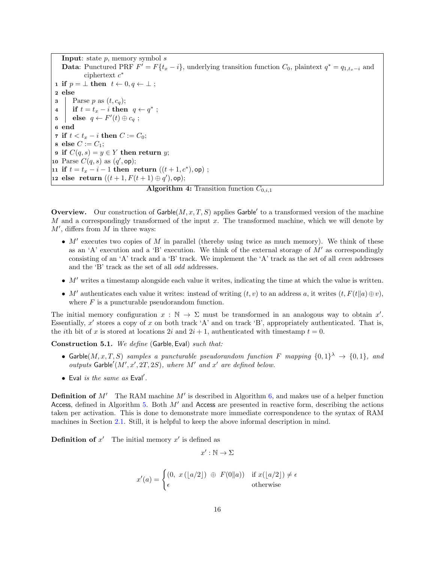**Input:** state  $p$ , memory symbol  $s$ **Data:** Punctured PRF  $F' = F\{t_x - i\}$ , underlying transition function  $C_0$ , plaintext  $q^* = q_{1,t_x-i}$  and ciphertext  $c^*$ 1 if  $p = \perp$  then  $t \leftarrow 0, q \leftarrow \perp$ ; 2 else  $\mathbf{3}$  | Parse p as  $(t, c_q);$  $\begin{array}{cc} \textbf{4} & \textbf{if } t = t_x - i \textbf{ then } q \leftarrow q^* \; ; \end{array}$ 5 else  $q \leftarrow F'(t) \oplus c_q$ ; 6 end 7 if  $t < t_x - i$  then  $C := C_0$ ; 8 else  $C := C_1$ ; 9 if  $C(q, s) = y \in Y$  then return y; 10 Parse  $C(q, s)$  as  $(q', \text{op})$ ; 11 if  $t = t_x - i - 1$  then return  $((t + 1, c^*), \text{op})$ ; 12 else return  $((t + 1, F(t + 1) \oplus q'), op);$ 

**Algorithm 4:** Transition function  $C_{0,i,1}$ 

**Overview.** Our construction of  $\mathsf{Garble}(M, x, T, S)$  applies  $\mathsf{Garble}'$  to a transformed version of the machine M and a correspondingly transformed of the input x. The transformed machine, which we will denote by  $M'$ , differs from  $M$  in three ways:

- $\bullet$  M' executes two copies of M in parallel (thereby using twice as much memory). We think of these as an 'A' execution and a 'B' execution. We think of the external storage of  $M'$  as correspondingly consisting of an 'A' track and a 'B' track. We implement the 'A' track as the set of all even addresses and the 'B' track as the set of all odd addresses.
- $M'$  writes a timestamp alongside each value it writes, indicating the time at which the value is written.
- M' authenticates each value it writes: instead of writing  $(t, v)$  to an address a, it writes  $(t, F(t||a) \oplus v)$ , where  $F$  is a puncturable pseudorandom function.

The initial memory configuration  $x : \mathbb{N} \to \Sigma$  must be transformed in an analogous way to obtain x'. Essentially,  $x'$  stores a copy of x on both track 'A' and on track 'B', appropriately authenticated. That is, the *i*th bit of x is stored at locations 2*i* and  $2i + 1$ , authenticated with timestamp  $t = 0$ .

<span id="page-16-1"></span>Construction 5.1. We define (Garble, Eval) such that:

- Garble $(M, x, T, S)$  samples a puncturable pseudorandom function F mapping  $\{0,1\}^{\lambda} \to \{0,1\}$ , and outputs Garble'( $M', x', 2T, 2S$ ), where M' and x' are defined below.
- Eval is the same as Eval'.

**Definition of**  $M'$  The RAM machine  $M'$  is described in Algorithm [6,](#page-16-0) and makes use of a helper function Access, defined in Algorithm [5.](#page-16-0) Both  $M'$  and Access are presented in reactive form, describing the actions taken per activation. This is done to demonstrate more immediate correspondence to the syntax of RAM machines in Section [2.1.](#page-5-0) Still, it is helpful to keep the above informal description in mind.

<span id="page-16-0"></span>**Definition of**  $x'$  The initial memory  $x'$  is defined as

 $x': \mathbb{N} \to \Sigma$ 

$$
x'(a) = \begin{cases} (0, x(\lfloor a/2 \rfloor) \oplus F(0 \Vert a)) & \text{if } x(\lfloor a/2 \rfloor) \neq \epsilon \\ \epsilon & \text{otherwise} \end{cases}
$$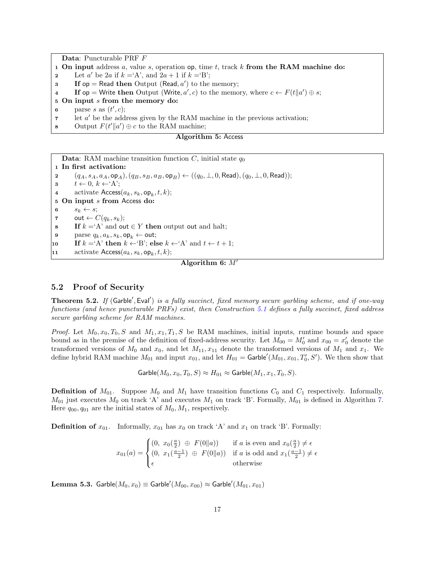Data: Puncturable PRF F

- 1 On input address a, value s, operation op, time t, track k from the RAM machine do:
- 2 Let a' be 2a if  $k = A'$ , and  $2a + 1$  if  $k = B'$ ;
- **3** If  $op =$  Read then Output (Read,  $a'$ ) to the memory;
- <sup>4</sup> If op = Write then Output (Write, a<sup>0</sup> , c) to the memory, where c ← F(tka 0 ) ⊕ s;
- 5 On input s from the memory do:
- 6 parse s as  $(t', c)$ ;
- $\tau$  let  $a'$  be the address given by the RAM machine in the previous activation;
- 8 Output  $F(t'||a') \oplus c$  to the RAM machine;

Algorithm 5: Access

**Data:** RAM machine transition function C, initial state  $q_0$ 1 In first activation: 2  $(q_A, s_A, a_A, \texttt{op}_A), (q_B, s_B, a_B, \texttt{op}_B) \leftarrow ((q_0, \perp, 0, \text{Read}), (q_0, \perp, 0, \text{Read}));$  $\mathbf{3} \qquad t \leftarrow 0, \, k \leftarrow \mathbf{A}$ ; 4 activate  $\mathsf{Access}(a_k, s_k, \mathsf{op}_k, t, k);$ <sup>5</sup> On input s from Access do: 6  $s_k \leftarrow s;$ 7 out  $\leftarrow C(q_k, s_k);$ 8 If  $k = A'$  and out  $\in Y$  then output out and halt; 9 parse  $q_k, a_k, s_k, \mathsf{op}_k \leftarrow \mathsf{out};$ 10 If  $k = A'$  then  $k \leftarrow B'$ ; else  $k \leftarrow A'$  and  $t \leftarrow t + 1$ ; 11 activate  $\text{Access}(a_k, s_k, \text{op}_k, t, k);$ 

Algorithm  $\overline{6}$ : M'

### 5.2 Proof of Security

**Theorem 5.2.** If (Garble', Eval') is a fully succinct, fixed memory secure garbling scheme, and if one-way functions (and hence puncturable PRFs) exist, then Construction [5.1](#page-16-1) defines a fully succinct, fixed address secure garbling scheme for RAM machines.

*Proof.* Let  $M_0, x_0, T_0, S$  and  $M_1, x_1, T_1, S$  be RAM machines, initial inputs, runtime bounds and space bound as in the premise of the definition of fixed-address security. Let  $M_{00} = M'_0$  and  $x_{00} = x'_0$  denote the transformed versions of  $M_0$  and  $x_0$ , and let  $M_{11}, x_{11}$  denote the transformed versions of  $M_1$  and  $x_1$ . We define hybrid RAM machine  $M_{01}$  and input  $x_{01}$ , and let  $H_{01} = \text{Garble}'(M_{01}, x_{01}, T'_0, S')$ . We then show that

 $\text{Garble}(M_0, x_0, T_0, S) \approx H_{01} \approx \text{Garble}(M_1, x_1, T_0, S).$ 

**Definition of**  $M_{01}$ . Suppose  $M_0$  and  $M_1$  have transition functions  $C_0$  and  $C_1$  respectively. Informally,  $M_{01}$  just executes  $M_0$  on track 'A' and executes  $M_1$  on track 'B'. Formally,  $M_{01}$  is defined in Algorithm [7.](#page-17-0) Here  $q_{00}, q_{01}$  are the initial states of  $M_0, M_1$ , respectively.

**Definition of**  $x_{01}$ . Informally,  $x_{01}$  has  $x_0$  on track 'A' and  $x_1$  on track 'B'. Formally:

$$
x_{01}(a) = \begin{cases} (0, x_0(\frac{a}{2}) \oplus F(0||a)) & \text{if } a \text{ is even and } x_0(\frac{a}{2}) \neq \epsilon \\ (0, x_1(\frac{a-1}{2}) \oplus F(0||a)) & \text{if } a \text{ is odd and } x_1(\frac{a-1}{2}) \neq \epsilon \\ \epsilon & \text{otherwise} \end{cases}
$$

<span id="page-17-1"></span><span id="page-17-0"></span>Lemma 5.3. Garble $(M_0, x_0) \equiv$  Garble $'(M_{00}, x_{00}) \approx$  Garble $'(M_{01}, x_{01})$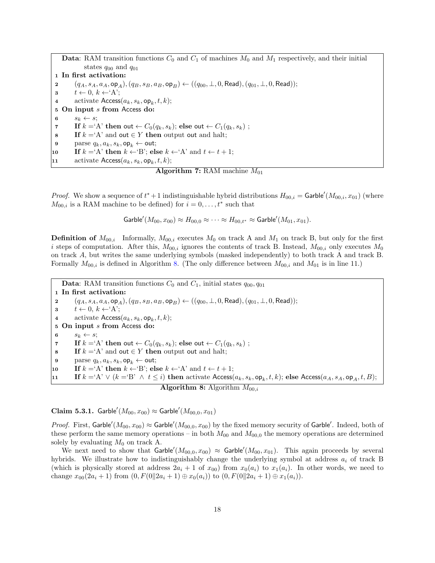**Data:** RAM transition functions  $C_0$  and  $C_1$  of machines  $M_0$  and  $M_1$  respectively, and their initial states  $q_{00}$  and  $q_{01}$ 1 In first activation:  $q_A, s_A, a_A, \textsf{op}_A), (q_B, s_B, a_B, \textsf{op}_B) \leftarrow ((q_{00}, \perp, 0, \textsf{Read}), (q_{01}, \perp, 0, \textsf{Read}));$  $\mathbf{3} \qquad t \leftarrow 0, \, k \leftarrow \mathbf{A}$ ; 4 activate  $\mathsf{Access}(a_k, s_k, \mathsf{op}_k, t, k);$ 5 On input s from Access do: 6  $s_k \leftarrow s;$ 7 If  $k = A'$  then out  $\leftarrow C_0(q_k, s_k)$ ; else out  $\leftarrow C_1(q_k, s_k)$ ; 8 If  $k = A'$  and out  $\in Y$  then output out and halt; 9 parse  $q_k, a_k, s_k, \mathsf{op}_k \leftarrow \mathsf{out};$ 10 If  $k = A'$  then  $k \leftarrow B'$ ; else  $k \leftarrow A'$  and  $t \leftarrow t + 1$ ; 11 activate  $\text{Access}(a_k, s_k, \text{op}_k, t, k);$ 

Algorithm 7: RAM machine  $M_{01}$ 

*Proof.* We show a sequence of  $t^* + 1$  indistinguishable hybrid distributions  $H_{00,i} =$  Garble' $(M_{00,i}, x_{01})$  (where  $M_{00,i}$  is a RAM machine to be defined) for  $i = 0, \ldots, t^*$  such that

Garble' $(M_{00}, x_{00}) \approx H_{00,0} \approx \cdots \approx H_{00,t^*} \approx$  Garble' $(M_{01}, x_{01})$ .

**Definition of**  $M_{00,i}$  Informally,  $M_{00,i}$  executes  $M_0$  on track A and  $M_1$  on track B, but only for the first i steps of computation. After this,  $M_{00,i}$  ignores the contents of track B. Instead,  $M_{00,i}$  only executes  $M_0$ on track A, but writes the same underlying symbols (masked independently) to both track A and track B. Formally  $M_{00,i}$  is defined in Algorithm [8.](#page-18-0) (The only difference between  $M_{00,i}$  and  $M_{01}$  is in line 11.)

<span id="page-18-0"></span>**Data:** RAM transition functions  $C_0$  and  $C_1$ , initial states  $q_{00}, q_{01}$ 1 In first activation: 2  $(q_A, s_A, a_A, \text{op}_A), (q_B, s_B, a_B, \text{op}_B) \leftarrow ((q_{00}, \perp, 0, \text{Read}), (q_{01}, \perp, 0, \text{Read}));$  $t \leftarrow 0, k \leftarrow A$ ; 4 activate  $\mathsf{Access}(a_k, s_k, \mathsf{op}_k, t, k);$ 5 On input s from Access do: 6  $s_k \leftarrow s;$ 7 If  $k = A'$  then out  $\leftarrow C_0(q_k, s_k)$ ; else out  $\leftarrow C_1(q_k, s_k)$ ; 8 If  $k = A'$  and out  $\in Y$  then output out and halt; 9 parse  $q_k, a_k, s_k, \mathsf{op}_k \leftarrow \mathsf{out};$ 10 If  $k = A'$  then  $k \leftarrow B'$ ; else  $k \leftarrow A'$  and  $t \leftarrow t + 1$ ; 11 If  $k = A' \vee (k = B' \wedge t \leq i)$  then activate  $\text{Access}(a_k, s_k, \text{op}_k, t, k)$ ; else  $\text{Access}(a_A, s_A, \text{op}_A, t, B)$ ; **Algorithm 8:** Algorithm  $M_{00,i}$ 

<span id="page-18-1"></span>**Claim 5.3.1.** Garble' $(M_{00}, x_{00}) \approx$  Garble' $(M_{00,0}, x_{01})$ 

*Proof.* First, Garble'( $M_{00}, x_{00}$ )  $\approx$  Garble'( $M_{00,0}, x_{00}$ ) by the fixed memory security of Garble'. Indeed, both of these perform the same memory operations – in both  $M_{00}$  and  $M_{00,0}$  the memory operations are determined solely by evaluating  $M_0$  on track A.

We next need to show that  $\textsf{Garble}'(M_{00,0}, x_{00}) \approx \textsf{Garble}'(M_{00}, x_{01})$ . This again proceeds by several hybrids. We illustrate how to indistinguishably change the underlying symbol at address  $a_i$  of track B (which is physically stored at address  $2a_i + 1$  of  $x_{00}$ ) from  $x_0(a_i)$  to  $x_1(a_i)$ . In other words, we need to change  $x_{00}(2a_i + 1)$  from  $(0, F(0||2a_i + 1) \oplus x_0(a_i))$  to  $(0, F(0||2a_i + 1) \oplus x_1(a_i)).$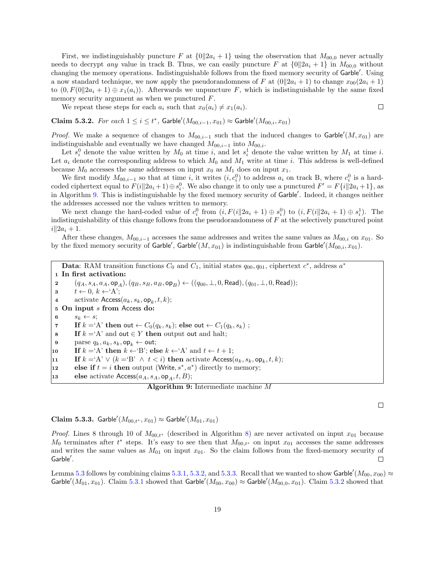First, we indistinguishably puncture F at  $\{0||2a_i + 1\}$  using the observation that  $M_{00,0}$  never actually needs to decrypt any value in track B. Thus, we can easily puncture F at  $\{0||2a_i + 1\}$  in  $M_{00,0}$  without changing the memory operations. Indistinguishable follows from the fixed memory security of Garble'. Using a now standard technique, we now apply the pseudorandomness of F at  $(0||2a_i + 1)$  to change  $x_{00}(2a_i + 1)$ to  $(0, F(0||2a_i + 1) \oplus x_1(a_i))$ . Afterwards we unpuncture F, which is indistinguishable by the same fixed memory security argument as when we punctured F.

We repeat these steps for each  $a_i$  such that  $x_0(a_i) \neq x_1(a_i)$ .

<span id="page-19-1"></span>Claim 5.3.2. For each 
$$
1 \le i \le t^*
$$
, Garble<sup>'</sup> $(M_{00,i-1}, x_{01}) \approx$  Garble<sup>'</sup> $(M_{00,i}, x_{01})$ 

*Proof.* We make a sequence of changes to  $M_{00,i-1}$  such that the induced changes to Garble'(M, x<sub>01</sub>) are indistinguishable and eventually we have changed  $M_{00,i-1}$  into  $M_{00,i}$ .

Let  $s_i^0$  denote the value written by  $M_0$  at time i, and let  $s_i^1$  denote the value written by  $M_1$  at time i. Let  $a_i$  denote the corresponding address to which  $M_0$  and  $M_1$  write at time i. This address is well-defined because  $M_0$  accesses the same addresses on input  $x_0$  as  $M_1$  does on input  $x_1$ .

We first modify  $M_{00,i-1}$  so that at time i, it writes  $(i, c_i^0)$  to address  $a_i$  on track B, where  $c_i^0$  is a hardcoded ciphertext equal to  $F(i||2a_i + 1) \oplus s_i^0$ . We also change it to only use a punctured  $F' = F(i||2a_i + 1)$ , as in Algorithm [9.](#page-19-0) This is indistinguishable by the fixed memory security of Garble'. Indeed, it changes neither the addresses accessed nor the values written to memory.

We next change the hard-coded value of  $c_i^0$  from  $(i, F(i||2a_i + 1) \oplus s_i^0)$  to  $(i, F(i||2a_i + 1) \oplus s_i^1)$ . The indistinguishability of this change follows from the pseudorandomness of  $F$  at the selectively punctured point  $i||2a_i + 1.$ 

After these changes,  $M_{00,i-1}$  accesses the same addresses and writes the same values as  $M_{00,i}$  on  $x_{01}$ . So by the fixed memory security of Garble', Garble'( $M, x_{01}$ ) is indistinguishable from Garble'( $M_{00,i}, x_{01}$ ).

<span id="page-19-0"></span>**Data**: RAM transition functions  $C_0$  and  $C_1$ , initial states  $q_{00}, q_{01}$ , ciphertext  $c^*$ , address  $a^*$ 1 In first activation: 2  $(q_A, s_A, a_A, \text{op}_A), (q_B, s_B, a_B, \text{op}_B) \leftarrow ((q_{00}, \perp, 0, \text{Read}), (q_{01}, \perp, 0, \text{Read}));$  $t \leftarrow 0, k \leftarrow A$ ; 4 activate  $\mathsf{Access}(a_k, s_k, \mathsf{op}_k, t, k);$ 5 On input s from Access do: 6  $s_k \leftarrow s;$ 7 If  $k = A'$  then out  $\leftarrow C_0(q_k, s_k)$ ; else out  $\leftarrow C_1(q_k, s_k)$ ; 8 If  $k = A'$  and out  $\in Y$  then output out and halt; 9 parse  $q_k, a_k, s_k, \mathsf{op}_k \leftarrow \mathsf{out};$ 10 If  $k = A'$  then  $k \leftarrow B'$ ; else  $k \leftarrow A'$  and  $t \leftarrow t + 1$ ; 11 If  $k = A' \vee (k = B' \wedge t < i)$  then activate Access $(a_k, s_k, \mathsf{op}_k, t, k);$ 12 else if  $t = i$  then output (Write,  $s^*, a^*$ ) directly to memory; 13 else activate  $\text{Access}(a_A, s_A, \text{op}_A, t, B);$ 

Algorithm 9: Intermediate machine M

 $\Box$ 

<span id="page-19-2"></span> $\textbf{Claim 5.3.3.}$  Garble' $(M_{00,t^*}, x_{01})$  ≈ Garble' $(M_{01}, x_{01})$ 

*Proof.* Lines 8 through 10 of  $M_{00,t^*}$  (described in Algorithm [8\)](#page-18-0) are never activated on input  $x_{01}$  because  $M_0$  terminates after  $t^*$  steps. It's easy to see then that  $M_{00,t^*}$  on input  $x_{01}$  accesses the same addresses and writes the same values as  $M_{01}$  on input  $x_{01}$ . So the claim follows from the fixed-memory security of Garble'.  $\Box$ 

Lemma [5.3](#page-17-1) follows by combining claims [5.3.1,](#page-18-1) [5.3.2,](#page-19-1) and [5.3.3.](#page-19-2) Recall that we wanted to show Garble'( $M_{00}, x_{00}$ )  $\approx$ Garble'( $M_{01}, x_{01}$ ). Claim [5.3.1](#page-18-1) showed that Garble'( $M_{00}, x_{00}$ )  $\approx$  Garble'( $M_{00,0}, x_{01}$ ). Claim [5.3.2](#page-19-1) showed that

 $\Box$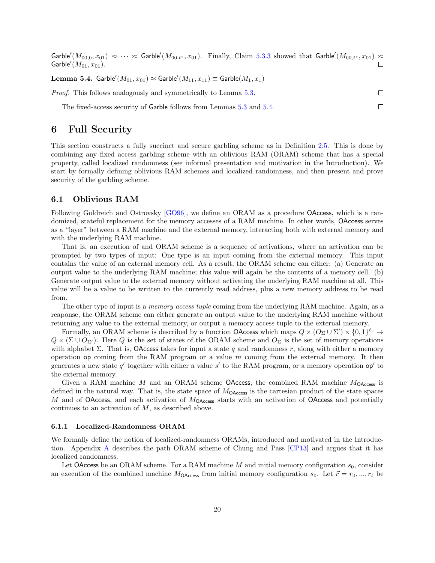Garble<sup>'</sup>( $M_{00,0}, x_{01}$ ) ≈  $\cdots$  ≈ Garble'( $M_{00,t^*}, x_{01}$ ). Finally, Claim [5.3.3](#page-19-2) showed that Garble'( $M_{00,t^*}, x_{01}$ ) ≈ Garble'  $(M_{01}, x_{01})$ .  $\Box$ 

> $\Box$  $\Box$

<span id="page-20-1"></span>Lemma 5.4. Garble $'(M_{01}, x_{01}) \approx$  Garble $'(M_{11}, x_{11}) \equiv$  Garble $(M_1, x_1)$ 

Proof. This follows analogously and symmetrically to Lemma [5.3.](#page-17-1)

The fixed-access security of Garble follows from Lemmas [5.3](#page-17-1) and [5.4.](#page-20-1)

## <span id="page-20-0"></span>6 Full Security

This section constructs a fully succinct and secure garbling scheme as in Definition [2.5.](#page-6-1) This is done by combining any fixed access garbling scheme with an oblivious RAM (ORAM) scheme that has a special property, called localized randomness (see informal presentation and motivation in the Introduction). We start by formally defining oblivious RAM schemes and localized randomness, and then present and prove security of the garbling scheme.

## 6.1 Oblivious RAM

Following Goldreich and Ostrovsky [\[GO96\]](#page-26-10), we define an ORAM as a procedure OAccess, which is a randomized, stateful replacement for the memory accesses of a RAM machine. In other words, OAccess serves as a "layer" between a RAM machine and the external memory, interacting both with external memory and with the underlying RAM machine.

That is, an execution of and ORAM scheme is a sequence of activations, where an activation can be prompted by two types of input: One type is an input coming from the external memory. This input contains the value of an external memory cell. As a result, the ORAM scheme can either: (a) Generate an output value to the underlying RAM machine; this value will again be the contents of a memory cell. (b) Generate output value to the external memory without activating the underlying RAM machine at all. This value will be a value to be written to the currently read address, plus a new memory address to be read from.

The other type of input is a *memory access tuple* coming from the underlying RAM machine. Again, as a reaponse, the ORAM scheme can either generate an output value to the underlying RAM machine without returning any value to the external memory, or output a memory access tuple to the external memory.

Formally, an ORAM scheme is described by a function **OAccess** which maps  $Q \times (O_{\Sigma} \cup \Sigma') \times \{0,1\}^{\ell_r} \to$  $Q \times (\Sigma \cup O_{\Sigma'})$ . Here Q is the set of states of the ORAM scheme and  $O_{\Sigma}$  is the set of memory operations with alphabet  $\Sigma$ . That is, OAccess takes for input a state q and randomness r, along with either a memory operation op coming from the RAM program or a value  $m$  coming from the external memory. It then generates a new state  $q'$  together with either a value s' to the RAM program, or a memory operation op' to the external memory.

Given a RAM machine M and an ORAM scheme OAccess, the combined RAM machine  $M_{OACeess}$  is defined in the natural way. That is, the state space of  $M_{OAccess}$  is the cartesian product of the state spaces  $M$  and of OAccess, and each activation of  $M_{OAccess}$  starts with an activation of OAccess and potentially continues to an activation of  $M$ , as described above.

#### 6.1.1 Localized-Randomness ORAM

We formally define the notion of localized-randomness ORAMs, introduced and motivated in the Introduction. Appendix [A](#page-27-4) describes the path ORAM scheme of Chung and Pass [\[CP13\]](#page-26-11) and argues that it has localized randomness.

Let OAccess be an ORAM scheme. For a RAM machine M and initial memory configuration  $s_0$ , consider an execution of the combined machine  $M_{\text{OAccess}}$  from initial memory configuration  $s_0$ . Let  $\vec{r} = r_0, ..., r_t$  be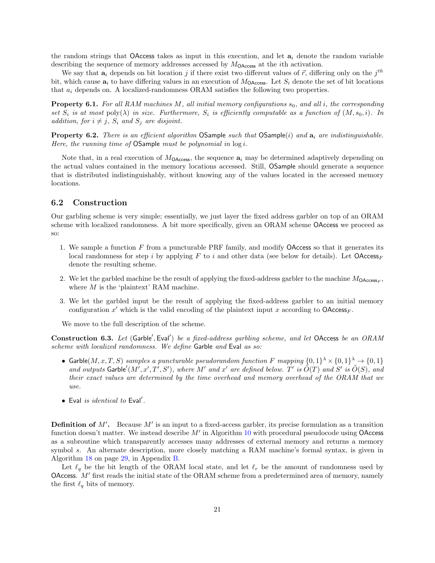the random strings that OAccess takes as input in this execution, and let  $a_i$  denote the random variable describing the sequence of memory addresses accessed by  $M_{O \text{Access}}$  at the *i*th activation.

We say that  $a_i$  depends on bit location j if there exist two different values of  $\vec{r}$ , differing only on the j<sup>th</sup> bit, which cause  $a_i$  to have differing values in an execution of  $M_{OAccess}$ . Let  $S_i$  denote the set of bit locations that  $a_i$  depends on. A localized-randomness ORAM satisfies the following two properties.

<span id="page-21-1"></span>**Property 6.1.** For all RAM machines M, all initial memory configurations  $s_0$ , and all i, the corresponding set  $S_i$  is at most poly( $\lambda$ ) in size. Furthermore,  $S_i$  is efficiently computable as a function of  $(M, s_0, i)$ . In addition, for  $i \neq j$ ,  $S_i$  and  $S_j$  are disjoint.

<span id="page-21-2"></span>**Property 6.2.** There is an efficient algorithm OSample such that OSample(i) and  $a_i$  are indistinguishable. Here, the running time of  $OS$ ample must be polynomial in  $log i$ .

Note that, in a real execution of  $M_{OAccess}$ , the sequence  $a_i$  may be determined adaptively depending on the actual values contained in the memory locations accessed. Still, OSample should generate a sequence that is distributed indistinguishably, without knowing any of the values located in the accessed memory locations.

## 6.2 Construction

Our garbling scheme is very simple; essentially, we just layer the fixed address garbler on top of an ORAM scheme with localized randomness. A bit more specifically, given an ORAM scheme OAccess we proceed as so:

- 1. We sample a function F from a puncturable PRF family, and modify OAccess so that it generates its local randomness for step i by applying F to i and other data (see below for details). Let  $O$ Access<sub>F</sub> denote the resulting scheme.
- 2. We let the garbled machine be the result of applying the fixed-address garbler to the machine  $M_{\text{OAccess}_F}$ , where M is the 'plaintext' RAM machine.
- 3. We let the garbled input be the result of applying the fixed-address garbler to an initial memory configuration  $x'$  which is the valid encoding of the plaintext input x according to  $O$ Access<sub>F</sub>.

We move to the full description of the scheme.

<span id="page-21-0"></span>Construction 6.3. Let (Garble', Eval') be a fixed-address garbling scheme, and let OAccess be an ORAM scheme with localized randomness. We define Garble and Eval as so:

- Garble $(M, x, T, S)$  samples a puncturable pseudorandom function F mapping  $\{0,1\}^{\lambda} \times \{0,1\}^{\lambda} \to \{0,1\}^{\lambda}$ and outputs Garble'(M', x', T', S'), where M' and x' are defined below. T' is  $O(T)$  and S' is  $O(S)$ , and their exact values are determined by the time overhead and memory overhead of the ORAM that we use.
- $\bullet$  Eval is identical to Eval'.

**Definition of M'.** Because  $M'$  is an input to a fixed-access garbler, its precise formulation as a transition function doesn't matter. We instead describe  $M'$  in Algorithm [10](#page-22-0) with procedural pseudocode using OAccess as a subroutine which transparently accesses many addresses of external memory and returns a memory symbol s. An alternate description, more closely matching a RAM machine's formal syntax, is given in Algorithm [18](#page-29-0) on page [29,](#page-29-0) in Appendix [B.](#page-29-1)

Let  $\ell_q$  be the bit length of the ORAM local state, and let  $\ell_r$  be the amount of randomness used by OAccess.  $M'$  first reads the initial state of the ORAM scheme from a predetermined area of memory, namely the first  $\ell_q$  bits of memory.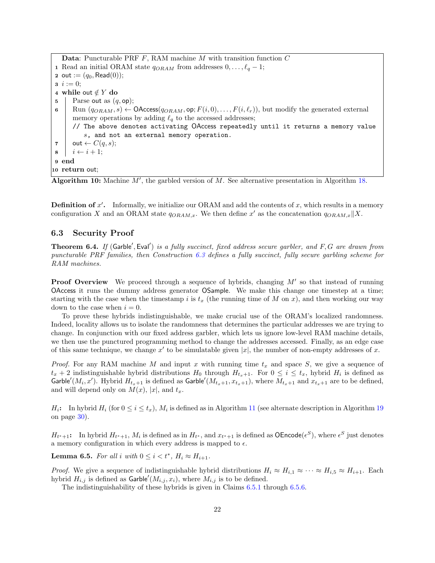<span id="page-22-0"></span>**Data:** Puncturable PRF  $F$ , RAM machine  $M$  with transition function  $C$ 1 Read an initial ORAM state  $q_{ORAM}$  from addresses  $0, \ldots, \ell_q - 1;$ **2** out :=  $(q_0, \text{Read}(0));$  $i := 0;$ 4 while out  $\notin Y$  do  $\mathbf{5}$  | Parse out as  $(q, \mathsf{op})$ ; 6 Run  $(q_{ORAM}, s) \leftarrow$  OAccess $(q_{ORAM}, \text{op}; F(i, 0), \ldots, F(i, \ell_r))$ , but modify the generated external memory operations by adding  $\ell_q$  to the accessed addresses; // The above denotes activating OAccess repeatedly until it returns a memory value s, and not an external memory operation. 7 | out  $\leftarrow C(q,s);$  $\mathbf{s} \mid i \leftarrow i + 1;$ 9 end 10 return out;

Algorithm 10: Machine  $M'$ , the garbled version of  $M$ . See alternative presentation in Algorithm [18.](#page-29-0)

**Definition of**  $x'$ . Informally, we initialize our ORAM and add the contents of  $x$ , which results in a memory configuration X and an ORAM state  $q_{ORAM,x}$ . We then define x' as the concatenation  $q_{ORAM,x}||X$ .

## 6.3 Security Proof

**Theorem 6.4.** If (Garble', Eval') is a fully succinct, fixed address secure garbler, and  $F, G$  are drawn from puncturable PRF families, then Construction [6.3](#page-21-0) defines a fully succinct, fully secure garbling scheme for RAM machines.

**Proof Overview** We proceed through a sequence of hybrids, changing  $M'$  so that instead of running OAccess it runs the dummy address generator OSample. We make this change one timestep at a time; starting with the case when the timestamp i is  $t_x$  (the running time of M on x), and then working our way down to the case when  $i = 0$ .

To prove these hybrids indistinguishable, we make crucial use of the ORAM's localized randomness. Indeed, locality allows us to isolate the randomness that determines the particular addresses we are trying to change. In conjunction with our fixed address garbler, which lets us ignore low-level RAM machine details, we then use the punctured programming method to change the addresses accessed. Finally, as an edge case of this same technique, we change  $x'$  to be simulatable given  $|x|$ , the number of non-empty addresses of x.

*Proof.* For any RAM machine M and input x with running time  $t_x$  and space S, we give a sequence of  $t_x + 2$  indistinguishable hybrid distributions  $H_0$  through  $H_{t_x+1}$ . For  $0 \leq i \leq t_x$ , hybrid  $H_i$  is defined as Garble'( $M_i, x'$ ). Hybrid  $H_{t_x+1}$  is defined as Garble'( $M_{t_x+1}, x_{t_x+1}$ ), where  $M_{t_x+1}$  and  $x_{t_x+1}$  are to be defined, and will depend only on  $M(x)$ , |x|, and  $t_x$ .

 $H_i$ : In hybrid  $H_i$  (for  $0 \le i \le t_x$ ),  $M_i$  is defined as in Algorithm [11](#page-23-0) (see alternate description in Algorithm [19](#page-30-0) on page  $30$ ).

 $H_{t^*+1}$ : In hybrid  $H_{t^*+1}$ ,  $M_i$  is defined as in  $H_{t^*}$ , and  $x_{t^*+1}$  is defined as **OEncode**( $\epsilon^S$ ), where  $\epsilon^S$  just denotes a memory configuration in which every address is mapped to  $\epsilon$ .

<span id="page-22-1"></span>**Lemma 6.5.** For all i with  $0 \leq i < t^*$ ,  $H_i \approx H_{i+1}$ .

*Proof.* We give a sequence of indistinguishable hybrid distributions  $H_i \approx H_{i,1} \approx \cdots \approx H_{i,5} \approx H_{i+1}$ . Each hybrid  $H_{i,j}$  is defined as  $\mathsf{Garble}'(M_{i,j}, x_i)$ , where  $M_{i,j}$  is to be defined.

The indistinguishability of these hybrids is given in Claims [6.5.1](#page-23-1) through [6.5.6.](#page-25-0)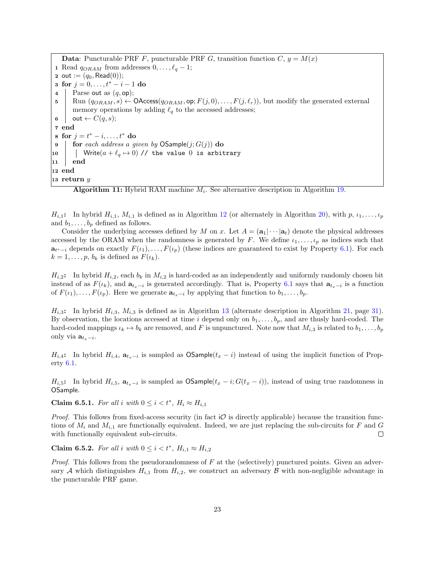<span id="page-23-0"></span>**Data:** Puncturable PRF F, puncturable PRF G, transition function  $C, y = M(x)$ 1 Read  $q_{ORAM}$  from addresses  $0, \ldots, \ell_q - 1;$ 2 out  $:=(q_0, Read(0));$ 3 for  $j = 0, ..., t^* - i - 1$  do 4 | Parse out as  $(q, \text{op})$ ; 5 Run  $(q_{ORAM}, s) \leftarrow$  OAccess $(q_{ORAM}, \text{op}; F(j, 0), \ldots, F(j, \ell_r)),$  but modify the generated external memory operations by adding  $\ell_q$  to the accessed addresses; 6 | out  $\leftarrow C(q,s);$ 7 end 8 for  $j = t^* - i, ..., t^*$  do 9 for each address a given by  $\mathsf{OSample}(j;G(j))$  do <sup>10</sup> Write(a + `<sup>q</sup> 7→ 0) // the value 0 is arbitrary 11 end 12 end 13 return  $y$ 

**Algorithm 11:** Hybrid RAM machine  $M_i$ . See alternative description in Algorithm [19.](#page-30-0)

 $H_{i,1}$ : In hybrid  $H_{i,1}, M_{i,1}$  is defined as in Algorithm [12](#page-24-0) (or alternately in Algorithm [20\)](#page-30-1), with p,  $\iota_1, \ldots, \iota_p$ and  $b_1, \ldots, b_p$  defined as follows.

Consider the underlying accesses defined by M on x. Let  $A = (\mathbf{a}_1 | \cdots | \mathbf{a}_t)$  denote the physical addresses accessed by the ORAM when the randomness is generated by F. We define  $\iota_1, \ldots, \iota_p$  as indices such that  $a_{t^*-i}$  depends on exactly  $F(\iota_1), \ldots, F(\iota_p)$  (these indices are guaranteed to exist by Property [6.1\)](#page-21-1). For each  $k = 1, \ldots, p, b_k$  is defined as  $F(\iota_k)$ .

 $H_{i,2}$ : In hybrid  $H_{i,2}$ , each  $b_k$  in  $M_{i,2}$  is hard-coded as an independently and uniformly randomly chosen bit instead of as  $F(t_k)$ , and  $a_{t_x-i}$  is generated accordingly. That is, Property [6.1](#page-21-1) says that  $a_{t_x-i}$  is a function of  $F(\iota_1), \ldots, F(\iota_p)$ . Here we generate  $\mathbf{a}_{t_x-i}$  by applying that function to  $b_1, \ldots, b_p$ .

 $H_{i,3}$ : In hybrid  $H_{i,3}$ ,  $M_{i,3}$  is defined as in Algorithm [13](#page-24-1) (alternate description in Algorithm [21,](#page-31-0) page [31\)](#page-31-0). By observation, the locations accessed at time i depend only on  $b_1, \ldots, b_p$ , and are thusly hard-coded. The hard-coded mappings  $\iota_k \mapsto b_k$  are removed, and F is unpunctured. Note now that  $M_{i,3}$  is related to  $b_1, \ldots, b_p$ only via  $a_{t_x-i}$ .

 $H_{i,4}$ : In hybrid  $H_{i,4}$ ,  $a_{t_x-i}$  is sampled as OSample( $t_x - i$ ) instead of using the implicit function of Property [6.1.](#page-21-1)

 $H_{i,5}$ : In hybrid  $H_{i,5}$ ,  $a_{t_x-i}$  is sampled as OSample $(t_x-i; G(t_x-i))$ , instead of using true randomness in OSample.

<span id="page-23-1"></span>**Claim 6.5.1.** For all i with  $0 \leq i < t^*$ ,  $H_i \approx H_{i,1}$ 

*Proof.* This follows from fixed-access security (in fact  $\mathcal O$  is directly applicable) because the transition functions of  $M_i$  and  $M_{i,1}$  are functionally equivalent. Indeed, we are just replacing the sub-circuits for F and G with functionally equivalent sub-circuits.  $\Box$ 

Claim 6.5.2. For all i with  $0 \leq i < t^*$ ,  $H_{i,1} \approx H_{i,2}$ 

*Proof.* This follows from the pseudorandomness of  $F$  at the (selectively) punctured points. Given an adversary A which distinguishes  $H_{i,1}$  from  $H_{i,2}$ , we construct an adversary B with non-negligible advantage in the puncturable PRF game.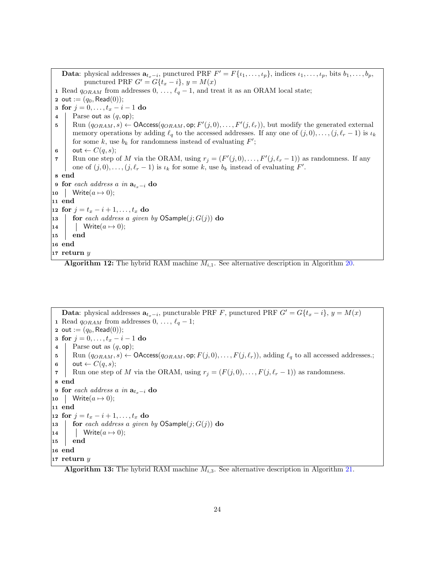<span id="page-24-0"></span>**Data**: physical addresses  $\mathbf{a}_{t_x-i}$ , punctured PRF  $F' = F\{t_1, \ldots, t_p\}$ , indices  $t_1, \ldots, t_p$ , bits  $b_1, \ldots, b_p$ , punctured PRF  $G' = G\{t_x - i\}$ ,  $y = M(x)$ 1 Read  $q_{ORAM}$  from addresses  $0, \ldots, \ell_q - 1$ , and treat it as an ORAM local state; 2 out  $:=(q_0, \text{Read}(0));$ 3 for  $j = 0, ..., t_x - i - 1$  do 4 Parse out as  $(q, \text{op})$ ; 5 Run  $(q_{ORAM}, s) \leftarrow \mathsf{OAccess}(q_{ORAM}, \mathsf{op}; F'(j, 0), \ldots, F'(j, \ell_r)),$  but modify the generated external memory operations by adding  $\ell_q$  to the accessed addresses. If any one of  $(j, 0), \ldots, (j, \ell_r - 1)$  is  $\iota_k$ for some k, use  $b_k$  for randomness instead of evaluating  $F'$ ; 6 | out  $\leftarrow C(q,s);$ 7 Run one step of M via the ORAM, using  $r_j = (F'(j,0), \ldots, F'(j,\ell_r-1))$  as randomness. If any one of  $(j, 0), \ldots, (j, \ell_r - 1)$  is  $\iota_k$  for some k, use  $b_k$  instead of evaluating F'. 8 end **9** for each address a in  $a_{t,-i}$  do 10 Write $(a \mapsto 0);$ <sup>11</sup> end 12 for  $j = t_x - i + 1, \ldots, t_x$  do 13 **for** each address a given by  $\mathsf{OSample}(j; G(j))$  do 14 | Write $(a \mapsto 0);$ 15 end 16 end 17 return  $y$ 

**Algorithm 12:** The hybrid RAM machine  $M_{i,1}$ . See alternative description in Algorithm [20.](#page-30-1)

<span id="page-24-1"></span>**Data**: physical addresses  $\mathbf{a}_{t_x-i}$ , puncturable PRF F, punctured PRF  $G' = G\{t_x - i\}$ ,  $y = M(x)$ 1 Read  $q_{ORAM}$  from addresses  $0, \ldots, \ell_q - 1;$ **2** out :=  $(q_0, \text{Read}(0));$ 3 for  $j = 0, ..., t_x - i - 1$  do 4 | Parse out as  $(q, \text{op})$ ; 5 Run  $(q_{ORAM}, s) \leftarrow$  OAccess $(q_{ORAM}, \text{op}; F(j, 0), \ldots, F(j, \ell_r))$ , adding  $\ell_q$  to all accessed addresses.; 6 | out  $\leftarrow C(q,s);$ 7 Run one step of M via the ORAM, using  $r_j = (F(j, 0), \ldots, F(j, \ell_r - 1))$  as randomness. <sup>8</sup> end **9** for each address a in  $a_{t_x-i}$  do 10 | Write $(a \mapsto 0);$ <sup>11</sup> end 12 for  $j = t_x - i + 1, \ldots, t_x$  do 13 **for** each address a given by  $\mathsf{OSample}(j; G(j))$  do 14 | Write $(a \mapsto 0);$ <sup>15</sup> end <sup>16</sup> end 17 return  $y$ 

**Algorithm 13:** The hybrid RAM machine  $M_{i,3}$ . See alternative description in Algorithm [21.](#page-31-0)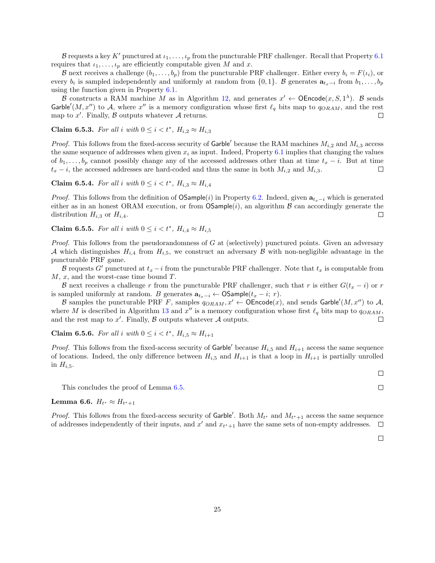B requests a key K' punctured at  $\iota_1, \ldots, \iota_p$  from the puncturable PRF challenger. Recall that Property [6.1](#page-21-1) requires that  $\iota_1, \ldots, \iota_p$  are efficiently computable given M and x.

B next receives a challenge  $(b_1, \ldots, b_p)$  from the puncturable PRF challenger. Either every  $b_i = F(i_i)$ , or every  $b_i$  is sampled independently and uniformly at random from  $\{0,1\}$ . B generates  $a_{t_x-i}$  from  $b_1,\ldots,b_p$ using the function given in Property [6.1.](#page-21-1)

B constructs a RAM machine M as in Algorithm [12,](#page-24-0) and generates  $x' \leftarrow \mathsf{OEncode}(x, S, 1^{\lambda})$ . B sends Garble'(M, x'') to A, where x'' is a memory configuration whose first  $\ell_q$  bits map to  $q_{ORAM}$ , and the rest map to  $x'$ . Finally,  $\beta$  outputs whatever  $\mathcal A$  returns.  $\Box$ 

Claim 6.5.3. For all i with  $0 \leq i < t^*$ ,  $H_{i,2} \approx H_{i,3}$ 

*Proof.* This follows from the fixed-access security of Garble' because the RAM machines  $M_{i,2}$  and  $M_{i,3}$  access the same sequence of addresses when given  $x_i$  as input. Indeed, Property [6.1](#page-21-1) implies that changing the values of  $b_1, \ldots, b_p$  cannot possibly change any of the accessed addresses other than at time  $t_x - i$ . But at time  $t_x - i$ , the accessed addresses are hard-coded and thus the same in both  $M_{i,2}$  and  $M_{i,3}$ .  $\Box$ 

Claim 6.5.4. For all i with  $0 \leq i < t^*$ ,  $H_{i,3} \approx H_{i,4}$ 

*Proof.* This follows from the definition of OSample(i) in Property [6.2.](#page-21-2) Indeed, given  $a_{t_x-i}$  which is generated either as in an honest ORAM execution, or from  $OSample(i)$ , an algorithm  $\beta$  can accordingly generate the distribution  $H_{i,3}$  or  $H_{i,4}$ .  $\Box$ 

Claim 6.5.5. For all i with  $0 \leq i < t^*$ ,  $H_{i,4} \approx H_{i,5}$ 

*Proof.* This follows from the pseudorandomness of G at (selectively) punctured points. Given an adversary A which distinguishes  $H_{i,4}$  from  $H_{i,5}$ , we construct an adversary B with non-negligible advantage in the puncturable PRF game.

B requests G' punctured at  $t_x - i$  from the puncturable PRF challenger. Note that  $t_x$  is computable from  $M, x$ , and the worst-case time bound  $T$ .

B next receives a challenge r from the puncturable PRF challenger, such that r is either  $G(t_x - i)$  or r is sampled uniformly at random. B generates  $\mathbf{a}_{t_x-i} \leftarrow \text{OSample}(t_x-i; r)$ .

B samples the puncturable PRF F, samples  $q_{ORAM}, x' \leftarrow \mathsf{OEncode}(x)$ , and sends Garble'(M, x'') to A, where M is described in Algorithm [13](#page-24-1) and  $x''$  is a memory configuration whose first  $\ell_q$  bits map to  $q_{ORAM}$ , and the rest map to  $x'$ . Finally,  $\beta$  outputs whatever  $\mathcal A$  outputs.  $\Box$ 

<span id="page-25-0"></span>**Claim 6.5.6.** For all i with  $0 \leq i < t^*$ ,  $H_{i,5} \approx H_{i+1}$ 

*Proof.* This follows from the fixed-access security of Garble' because  $H_{i,5}$  and  $H_{i+1}$  access the same sequence of locations. Indeed, the only difference between  $H_{i,5}$  and  $H_{i+1}$  is that a loop in  $H_{i+1}$  is partially unrolled in  $H_{i,5}$ .

This concludes the proof of Lemma [6.5.](#page-22-1)

Lemma 6.6.  $H_{t^*} \approx H_{t^*+1}$ 

*Proof.* This follows from the fixed-access security of Garble'. Both  $M_{t^*}$  and  $M_{t^*+1}$  access the same sequence of addresses independently of their inputs, and  $x'$  and  $x_{t^*+1}$  have the same sets of non-empty addresses.  $\Box$ 

 $\Box$ 

 $\Box$  $\Box$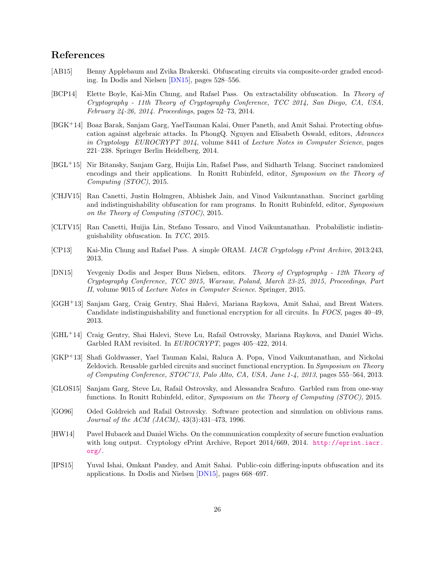## References

- <span id="page-26-7"></span>[AB15] Benny Applebaum and Zvika Brakerski. Obfuscating circuits via composite-order graded encoding. In Dodis and Nielsen [\[DN15\]](#page-26-14), pages 528–556.
- <span id="page-26-8"></span>[BCP14] Elette Boyle, Kai-Min Chung, and Rafael Pass. On extractability obfuscation. In Theory of Cryptography - 11th Theory of Cryptography Conference, TCC 2014, San Diego, CA, USA, February 24-26, 2014. Proceedings, pages 52–73, 2014.
- <span id="page-26-6"></span>[BGK+14] Boaz Barak, Sanjam Garg, YaelTauman Kalai, Omer Paneth, and Amit Sahai. Protecting obfuscation against algebraic attacks. In PhongQ. Nguyen and Elisabeth Oswald, editors, Advances in Cryptology EUROCRYPT 2014, volume 8441 of Lecture Notes in Computer Science, pages 221–238. Springer Berlin Heidelberg, 2014.
- <span id="page-26-3"></span>[BGL+15] Nir Bitansky, Sanjam Garg, Huijia Lin, Rafael Pass, and Sidharth Telang. Succinct randomized encodings and their applications. In Ronitt Rubinfeld, editor, Symposium on the Theory of Computing (STOC), 2015.
- <span id="page-26-4"></span>[CHJV15] Ran Canetti, Justin Holmgren, Abhishek Jain, and Vinod Vaikuntanathan. Succinct garbling and indistinguishability obfuscation for ram programs. In Ronitt Rubinfeld, editor, Symposium on the Theory of Computing (STOC), 2015.
- <span id="page-26-13"></span>[CLTV15] Ran Canetti, Huijia Lin, Stefano Tessaro, and Vinod Vaikuntanathan. Probabilistic indistinguishability obfuscation. In TCC, 2015.
- <span id="page-26-11"></span>[CP13] Kai-Min Chung and Rafael Pass. A simple ORAM. IACR Cryptology ePrint Archive, 2013:243, 2013.
- <span id="page-26-14"></span>[DN15] Yevgeniy Dodis and Jesper Buus Nielsen, editors. Theory of Cryptography - 12th Theory of Cryptography Conference, TCC 2015, Warsaw, Poland, March 23-25, 2015, Proceedings, Part II, volume 9015 of Lecture Notes in Computer Science. Springer, 2015.
- <span id="page-26-5"></span>[GGH+13] Sanjam Garg, Craig Gentry, Shai Halevi, Mariana Raykova, Amit Sahai, and Brent Waters. Candidate indistinguishability and functional encryption for all circuits. In FOCS, pages 40–49, 2013.
- <span id="page-26-1"></span>[GHL+14] Craig Gentry, Shai Halevi, Steve Lu, Rafail Ostrovsky, Mariana Raykova, and Daniel Wichs. Garbled RAM revisited. In EUROCRYPT, pages 405–422, 2014.
- <span id="page-26-0"></span>[GKP+13] Shafi Goldwasser, Yael Tauman Kalai, Raluca A. Popa, Vinod Vaikuntanathan, and Nickolai Zeldovich. Reusable garbled circuits and succinct functional encryption. In Symposium on Theory of Computing Conference, STOC'13, Palo Alto, CA, USA, June 1-4, 2013, pages 555–564, 2013.
- <span id="page-26-2"></span>[GLOS15] Sanjam Garg, Steve Lu, Rafail Ostrovsky, and Alessandra Scafuro. Garbled ram from one-way functions. In Ronitt Rubinfeld, editor, Symposium on the Theory of Computing (STOC), 2015.
- <span id="page-26-10"></span>[GO96] Oded Goldreich and Rafail Ostrovsky. Software protection and simulation on oblivious rams. Journal of the ACM (JACM), 43(3):431–473, 1996.
- <span id="page-26-12"></span>[HW14] Pavel Hubacek and Daniel Wichs. On the communication complexity of secure function evaluation with long output. Cryptology ePrint Archive, Report 2014/669, 2014. [http://eprint.iacr.](http://eprint.iacr.org/) [org/](http://eprint.iacr.org/).
- <span id="page-26-9"></span>[IPS15] Yuval Ishai, Omkant Pandey, and Amit Sahai. Public-coin differing-inputs obfuscation and its applications. In Dodis and Nielsen [\[DN15\]](#page-26-14), pages 668–697.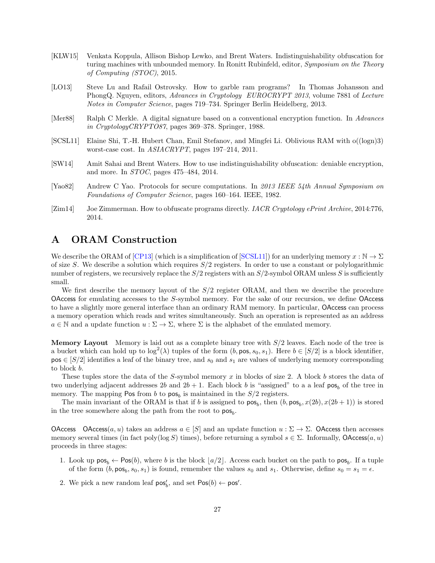- <span id="page-27-3"></span>[KLW15] Venkata Koppula, Allison Bishop Lewko, and Brent Waters. Indistinguishability obfuscation for turing machines with unbounded memory. In Ronitt Rubinfeld, editor, Symposium on the Theory of Computing (STOC), 2015.
- <span id="page-27-1"></span>[LO13] Steve Lu and Rafail Ostrovsky. How to garble ram programs? In Thomas Johansson and PhongQ. Nguyen, editors, Advances in Cryptology EUROCRYPT 2013, volume 7881 of Lecture Notes in Computer Science, pages 719–734. Springer Berlin Heidelberg, 2013.
- <span id="page-27-7"></span>[Mer88] Ralph C Merkle. A digital signature based on a conventional encryption function. In Advances in CryptologyCRYPTO87, pages 369–378. Springer, 1988.
- <span id="page-27-5"></span>[SCSL11] Elaine Shi, T.-H. Hubert Chan, Emil Stefanov, and Mingfei Li. Oblivious RAM with o((logn)3) worst-case cost. In ASIACRYPT, pages 197–214, 2011.
- <span id="page-27-6"></span>[SW14] Amit Sahai and Brent Waters. How to use indistinguishability obfuscation: deniable encryption, and more. In STOC, pages 475–484, 2014.
- <span id="page-27-0"></span>[Yao82] Andrew C Yao. Protocols for secure computations. In 2013 IEEE 54th Annual Symposium on Foundations of Computer Science, pages 160–164. IEEE, 1982.
- <span id="page-27-2"></span>[Zim14] Joe Zimmerman. How to obfuscate programs directly. *IACR Cryptology ePrint Archive*, 2014:776, 2014.

## <span id="page-27-4"></span>A ORAM Construction

We describe the ORAM of [\[CP13\]](#page-26-11) (which is a simplification of [\[SCSL11\]](#page-27-5)) for an underlying memory  $x : \mathbb{N} \to \Sigma$ of size S. We describe a solution which requires  $S/2$  registers. In order to use a constant or polylogarithmic number of registers, we recursively replace the  $S/2$  registers with an  $S/2$ -symbol ORAM unless S is sufficiently small.

We first describe the memory layout of the  $S/2$  register ORAM, and then we describe the procedure OAccess for emulating accesses to the S-symbol memory. For the sake of our recursion, we define OAccess to have a slightly more general interface than an ordinary RAM memory. In particular, OAccess can process a memory operation which reads and writes simultaneously. Such an operation is represented as an address  $a \in \mathbb{N}$  and a update function  $u : \Sigma \to \Sigma$ , where  $\Sigma$  is the alphabet of the emulated memory.

**Memory Layout** Memory is laid out as a complete binary tree with  $S/2$  leaves. Each node of the tree is a bucket which can hold up to  $\log^2(\lambda)$  tuples of the form  $(b, \text{pos}, s_0, s_1)$ . Here  $b \in [S/2]$  is a block identifier,  $pos \in [S/2]$  identifies a leaf of the binary tree, and  $s_0$  and  $s_1$  are values of underlying memory corresponding to block b.

These tuples store the data of the S-symbol memory x in blocks of size 2. A block b stores the data of two underlying adjacent addresses 2b and  $2b + 1$ . Each block b is "assigned" to a a leaf pos<sub>b</sub> of the tree in memory. The mapping Pos from b to  $pos_b$  is maintained in the  $S/2$  registers.

The main invariant of the ORAM is that if b is assigned to  $pos_b$ , then  $(b, pos_b, x(2b), x(2b+1))$  is stored in the tree somewhere along the path from the root to  $pos_b$ .

OAccess OAccess $(a, u)$  takes an address  $a \in [S]$  and an update function  $u : \Sigma \to \Sigma$ . OAccess then accesses memory several times (in fact poly(log S) times), before returning a symbol  $s \in \Sigma$ . Informally, **OAccess** $(a, u)$ proceeds in three stages:

- 1. Look up  $pos_b \leftarrow Pos(b)$ , where b is the block  $\lfloor a/2 \rfloor$ . Access each bucket on the path to  $pos_b$ . If a tuple of the form  $(b, \text{pos}_b, s_0, s_1)$  is found, remember the values  $s_0$  and  $s_1$ . Otherwise, define  $s_0 = s_1 = \epsilon$ .
- 2. We pick a new random leaf  $pos'_b$ , and set  $Pos(b) \leftarrow pos'.$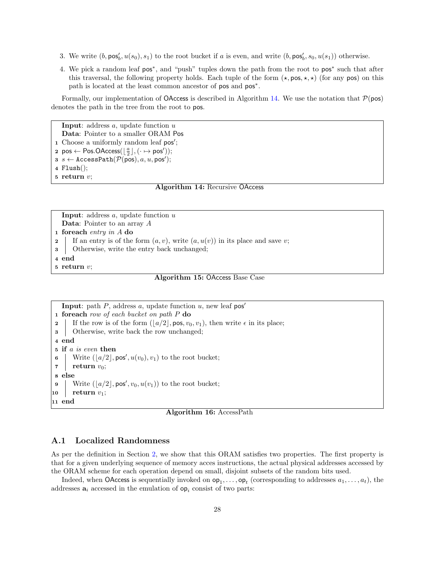- 3. We write  $(b, \text{pos}'_b, u(s_0), s_1)$  to the root bucket if a is even, and write  $(b, \text{pos}'_b, s_0, u(s_1))$  otherwise.
- 4. We pick a random leaf pos<sup>∗</sup> , and "push" tuples down the path from the root to pos<sup>∗</sup> such that after this traversal, the following property holds. Each tuple of the form  $(\star, pos, \star, \star)$  (for any pos) on this path is located at the least common ancestor of pos and pos<sup>\*</sup>.

Formally, our implementation of OAccess is described in Algorithm [14.](#page-28-0) We use the notation that  $\mathcal{P}(\text{pos})$ denotes the path in the tree from the root to pos.

<span id="page-28-0"></span>**Input:** address  $a$ , update function  $u$ Data: Pointer to a smaller ORAM Pos 1 Choose a uniformly random leaf pos'; 2 pos  $\leftarrow$  Pos.OAccess $(\lfloor \frac{a}{2} \rfloor, (\cdot \mapsto \mathsf{pos}'));$  $\mathbf{s} \leftarrow \texttt{AccessPath}(\mathcal{P}(\overline{\texttt{pos}}), a, u, \overline{\texttt{pos}}');$ <sup>4</sup> Flush(); 5 return v;

#### Algorithm 14: Recursive OAccess

```
Input: address a, update function u
```
- Data: Pointer to an array A
- 1 foreach entry in A do
- 2 If an entry is of the form  $(a, v)$ , write  $(a, u(v))$  in its place and save v;
- 3 Ctherwise, write the entry back unchanged;
- 4 end
- $5$  return  $v$ ;

#### Algorithm 15: OAccess Base Case

**Input:** path P, address a, update function u, new leaf  $pos'$ 1 foreach row of each bucket on path P do 2 | If the row is of the form  $(|a/2|, \text{pos}, v_0, v_1)$ , then write  $\epsilon$  in its place; 3 Ctherwise, write back the row unchanged; 4 end 5 if a is even then 6 Write  $(\lfloor a/2 \rfloor, \text{pos}', u(v_0), v_1)$  to the root bucket;  $7 \mid \text{return } v_0;$ 8 else 9 Write  $(\lfloor a/2 \rfloor, \text{pos}', v_0, u(v_1))$  to the root bucket; 10 return  $v_1$ ; <sup>11</sup> end



## A.1 Localized Randomness

As per the definition in Section [2,](#page-5-1) we show that this ORAM satisfies two properties. The first property is that for a given underlying sequence of memory acces instructions, the actual physical addresses accessed by the ORAM scheme for each operation depend on small, disjoint subsets of the random bits used.

Indeed, when **OAccess** is sequentially invoked on  $op_1, \ldots, op_t$  (corresponding to addresses  $a_1, \ldots, a_t$ ), the addresses  $a_i$  accessed in the emulation of  $op_i$  consist of two parts: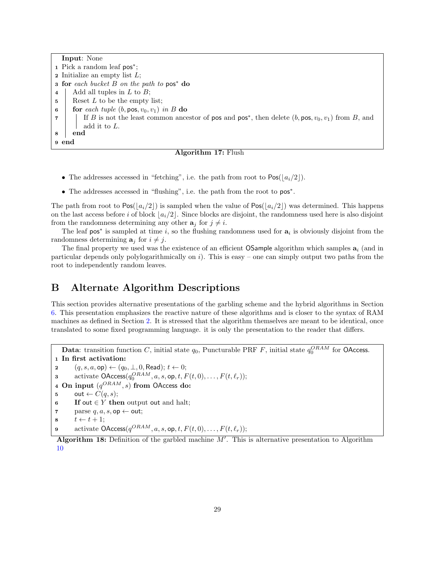| <b>Input:</b> None                                                                                                                  |
|-------------------------------------------------------------------------------------------------------------------------------------|
| 1 Pick a random leaf pos <sup>*</sup> ;                                                                                             |
| <b>2</b> Initialize an empty list $L$ ;                                                                                             |
| <b>3</b> for each bucket $B$ on the path to pos <sup>*</sup> do                                                                     |
| Add all tuples in $L$ to $B$ ;<br>$\overline{4}$                                                                                    |
| Reset $L$ to be the empty list;<br>$\overline{5}$                                                                                   |
| for each tuple $(b, pos, v_0, v_1)$ in B do<br>$\bf{6}$                                                                             |
| If B is not the least common ancestor of pos and pos <sup>*</sup> , then delete (b, pos, $v_0$ , $v_1$ ) from B, and<br>$7^{\circ}$ |
| add it to $L$ .                                                                                                                     |
| end                                                                                                                                 |
| 9 end                                                                                                                               |

#### Algorithm 17: Flush

- The addresses accessed in "fetching", i.e. the path from root to  $\text{Pos}(|a_i/2|)$ .
- The addresses accessed in "flushing", i.e. the path from the root to pos<sup>∗</sup> .

The path from root to  $\text{Pos}(|a_i/2|)$  is sampled when the value of  $\text{Pos}(|a_i/2|)$  was determined. This happens on the last access before i of block  $\lfloor a_i/2 \rfloor$ . Since blocks are disjoint, the randomness used here is also disjoint from the randomness determining any other  $a_i$  for  $j \neq i$ .

The leaf pos<sup>\*</sup> is sampled at time i, so the flushing randomness used for  $a_i$  is obviously disjoint from the randomness determining  $a_i$  for  $i \neq j$ .

The final property we used was the existence of an efficient OSample algorithm which samples  $a_i$  (and in particular depends only polylogarithmically on i). This is easy – one can simply output two paths from the root to independently random leaves.

## <span id="page-29-1"></span>B Alternate Algorithm Descriptions

This section provides alternative presentations of the garbling scheme and the hybrid algorithms in Section [6.](#page-20-0) This presentation emphasizes the reactive nature of these algorithms and is closer to the syntax of RAM machines as defined in Section [2.](#page-5-1) It is stressed that the algorithm themselves are meant to be identical, once translated to some fixed programming language. it is only the presentation to the reader that differs.

<span id="page-29-0"></span>**Data**: transition function C, initial state  $q_0$ , Puncturable PRF F, initial state  $q_0^{ORAM}$  for OAccess. 1 In first activation:

```
2 (q, s, a, \texttt{op}) \leftarrow (q_0, \perp, 0, \texttt{Read}); t \leftarrow 0;
```
3 activate  $\mathsf{OAccess}(q_0^{ORAM}, a, s, \mathsf{op}, t, F(t, 0), \dots, F(t, \ell_r));$ 

4 On input  $(q^{ORAM}, s)$  from OAccess do:

```
5 out \leftarrow C(q,s);
```
6 If out  $\in Y$  then output out and halt;

```
7 parse q, a, s, \textsf{op} \leftarrow \textsf{out};
```

```
8 t \leftarrow t + 1;
```
9 activate  $\mathsf{OAccess}(q^{ORAM}, a, s, \mathsf{op}, t, F(t, 0), \ldots, F(t, \ell_r));$ 

Algorithm 18: Definition of the garbled machine  $M'$ . This is alternative presentation to Algorithm [10](#page-22-0)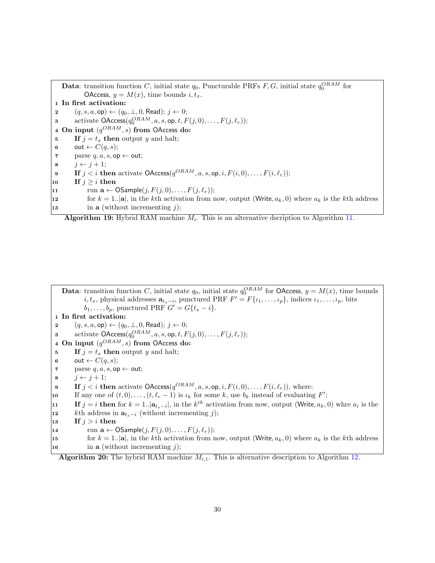<span id="page-30-0"></span>**Data**: transition function C, initial state  $q_0$ , Puncturable PRFs F, G, initial state  $q_0^{ORAM}$  for OAccess,  $y = M(x)$ , time bounds  $i, t_x$ . 1 In first activation: 2  $(q, s, a, \texttt{op}) \leftarrow (q_0, \perp, 0, \text{Read}); j \leftarrow 0;$ 3 activate  $\mathsf{OAccess}(q_0^{ORAM}, a, s, \mathsf{op}, t, F(j, 0), \dots, F(j, \ell_r));$ 4 On input  $(q^{ORAM}, s)$  from OAccess do: 5 If  $j = t_x$  then output y and halt; 6 out  $\leftarrow C(q,s);$ 7 parse  $q, a, s, \textsf{op} \leftarrow \textsf{out};$ 8  $j \leftarrow j + 1;$ 9 If  $j < i$  then activate OAccess $(q^{ORAM}, a, s, \text{op}, i, F(i, 0), \dots, F(i, \ell_r));$ 10 If  $j > i$  then 11 run  $\mathbf{a} \leftarrow \mathsf{OSample}(j, F(j, 0), \ldots, F(j, \ell_r));$ 12 for  $k = 1$ . |a|, in the kth activation from now, output (Write,  $a_k$ , 0) where  $a_k$  is the kth address 13 in a (without incrementing  $j$ );

Algorithm 19: Hybrid RAM machine  $M_i$ . This is an alternative dscription to Algorithm [11.](#page-23-0)

<span id="page-30-1"></span>**Data**: transition function C, initial state  $q_0$ , initial state  $q_0^{ORAM}$  for **OAccess**,  $y = M(x)$ , time bounds  $i, t_x$ , physical addresses  $\mathbf{a}_{t_x-i}$ , punctured PRF  $F' = F\{i_1, \ldots, i_p\}$ , indices  $i_1, \ldots, i_p$ , bits  $b_1, \ldots, b_p$ , punctured PRF  $G' = G\{t_x - i\}$ . 1 In first activation: 2  $(q, s, a, \texttt{op}) \leftarrow (q_0, \perp, 0, \texttt{Read}); j \leftarrow 0;$ 3 activate  $\mathsf{OAccess}(q_0^{ORAM}, a, s, \mathsf{op}, t, F(j, 0), \dots, F(j, \ell_r));$ 4 On input  $(q^{ORAM}, s)$  from OAccess do: 5 If  $j = t_x$  then output y and halt; 6 out  $\leftarrow C(q,s);$ 7 parse  $q, a, s, \textsf{op} \leftarrow \textsf{out};$ 8  $j \leftarrow j + 1;$ **9** If  $j < i$  then activate  $\mathsf{OAccess}(q^{ORAM}, a, s, \mathsf{op}, i, F(i, 0), \ldots, F(i, \ell_r)),$  where: 10 If any one of  $(t, 0), \ldots, (t, \ell_r - 1)$  is  $\iota_k$  for some k, use  $b_k$  instead of evaluating F'; 11 If  $j = i$  then for  $k = 1..|\mathbf{a}_{t_x-i}|$ , in the  $k^{th}$  activation from now, output (Write,  $a_k$ , 0) whre  $a_i$  is the 12 kth address in  $a_{t_x-i}$  (without incrementing j); 13 If  $j > i$  then 14 run  $\mathbf{a} \leftarrow \mathsf{OSample}(j, F(j, 0), \ldots, F(j, \ell_r));$ 15 for  $k = 1$ . |a|, in the kth activation from now, output (Write,  $a_k$ , 0) where  $a_k$  is the kth address 16 in a (without incrementing  $j$ );

**Algorithm 20:** The hybrid RAM machine  $M_{i,1}$ . This is alternative description to Algorithm [12.](#page-24-0)